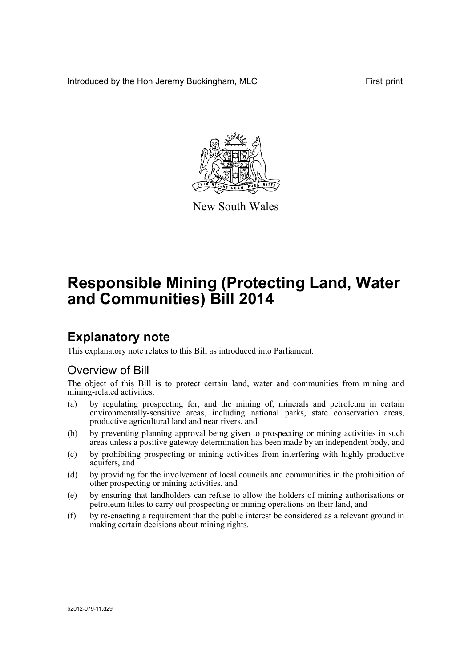Introduced by the Hon Jeremy Buckingham, MLC First print



New South Wales

# **Responsible Mining (Protecting Land, Water and Communities) Bill 2014**

## **Explanatory note**

This explanatory note relates to this Bill as introduced into Parliament.

## Overview of Bill

The object of this Bill is to protect certain land, water and communities from mining and mining-related activities:

- (a) by regulating prospecting for, and the mining of, minerals and petroleum in certain environmentally-sensitive areas, including national parks, state conservation areas, productive agricultural land and near rivers, and
- (b) by preventing planning approval being given to prospecting or mining activities in such areas unless a positive gateway determination has been made by an independent body, and
- (c) by prohibiting prospecting or mining activities from interfering with highly productive aquifers, and
- (d) by providing for the involvement of local councils and communities in the prohibition of other prospecting or mining activities, and
- (e) by ensuring that landholders can refuse to allow the holders of mining authorisations or petroleum titles to carry out prospecting or mining operations on their land, and
- (f) by re-enacting a requirement that the public interest be considered as a relevant ground in making certain decisions about mining rights.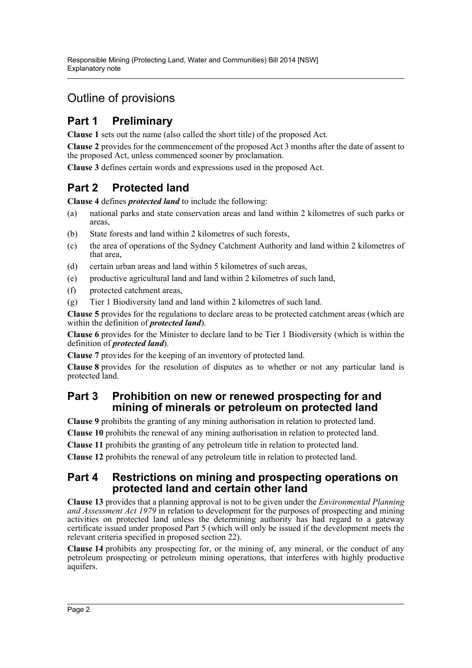## Outline of provisions

## **Part 1 Preliminary**

**Clause 1** sets out the name (also called the short title) of the proposed Act.

**Clause 2** provides for the commencement of the proposed Act 3 months after the date of assent to the proposed Act, unless commenced sooner by proclamation.

**Clause 3** defines certain words and expressions used in the proposed Act.

## **Part 2 Protected land**

**Clause 4** defines *protected land* to include the following:

- (a) national parks and state conservation areas and land within 2 kilometres of such parks or areas,
- (b) State forests and land within 2 kilometres of such forests,
- (c) the area of operations of the Sydney Catchment Authority and land within 2 kilometres of that area,
- (d) certain urban areas and land within 5 kilometres of such areas,
- (e) productive agricultural land and land within 2 kilometres of such land,
- (f) protected catchment areas,
- (g) Tier 1 Biodiversity land and land within 2 kilometres of such land.

**Clause 5** provides for the regulations to declare areas to be protected catchment areas (which are within the definition of *protected land*).

**Clause 6** provides for the Minister to declare land to be Tier 1 Biodiversity (which is within the definition of *protected land*).

**Clause 7** provides for the keeping of an inventory of protected land.

**Clause 8** provides for the resolution of disputes as to whether or not any particular land is protected land.

### **Part 3 Prohibition on new or renewed prospecting for and mining of minerals or petroleum on protected land**

**Clause 9** prohibits the granting of any mining authorisation in relation to protected land.

**Clause 10** prohibits the renewal of any mining authorisation in relation to protected land.

**Clause 11** prohibits the granting of any petroleum title in relation to protected land.

**Clause 12** prohibits the renewal of any petroleum title in relation to protected land.

### **Part 4 Restrictions on mining and prospecting operations on protected land and certain other land**

**Clause 13** provides that a planning approval is not to be given under the *Environmental Planning and Assessment Act 1979* in relation to development for the purposes of prospecting and mining activities on protected land unless the determining authority has had regard to a gateway certificate issued under proposed Part 5 (which will only be issued if the development meets the relevant criteria specified in proposed section 22).

**Clause 14** prohibits any prospecting for, or the mining of, any mineral, or the conduct of any petroleum prospecting or petroleum mining operations, that interferes with highly productive aquifers.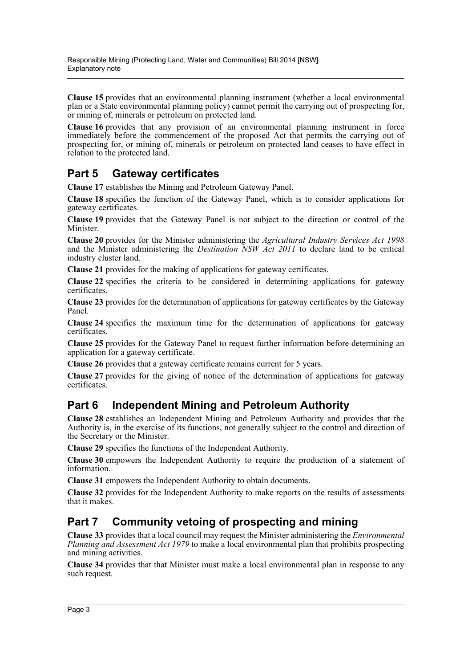**Clause 15** provides that an environmental planning instrument (whether a local environmental plan or a State environmental planning policy) cannot permit the carrying out of prospecting for, or mining of, minerals or petroleum on protected land.

**Clause 16** provides that any provision of an environmental planning instrument in force immediately before the commencement of the proposed Act that permits the carrying out of prospecting for, or mining of, minerals or petroleum on protected land ceases to have effect in relation to the protected land.

## **Part 5 Gateway certificates**

**Clause 17** establishes the Mining and Petroleum Gateway Panel.

**Clause 18** specifies the function of the Gateway Panel, which is to consider applications for gateway certificates.

**Clause 19** provides that the Gateway Panel is not subject to the direction or control of the Minister.

**Clause 20** provides for the Minister administering the *Agricultural Industry Services Act 1998* and the Minister administering the *Destination NSW Act 2011* to declare land to be critical industry cluster land.

**Clause 21** provides for the making of applications for gateway certificates.

**Clause 22** specifies the criteria to be considered in determining applications for gateway certificates.

**Clause 23** provides for the determination of applications for gateway certificates by the Gateway Panel.

**Clause 24** specifies the maximum time for the determination of applications for gateway certificates.

**Clause 25** provides for the Gateway Panel to request further information before determining an application for a gateway certificate.

**Clause 26** provides that a gateway certificate remains current for 5 years.

**Clause 27** provides for the giving of notice of the determination of applications for gateway certificates.

## **Part 6 Independent Mining and Petroleum Authority**

**Clause 28** establishes an Independent Mining and Petroleum Authority and provides that the Authority is, in the exercise of its functions, not generally subject to the control and direction of the Secretary or the Minister.

**Clause 29** specifies the functions of the Independent Authority.

**Clause 30** empowers the Independent Authority to require the production of a statement of information.

**Clause 31** empowers the Independent Authority to obtain documents.

**Clause 32** provides for the Independent Authority to make reports on the results of assessments that it makes.

## **Part 7 Community vetoing of prospecting and mining**

**Clause 33** provides that a local council may request the Minister administering the *Environmental Planning and Assessment Act 1979* to make a local environmental plan that prohibits prospecting and mining activities.

**Clause 34** provides that that Minister must make a local environmental plan in response to any such request.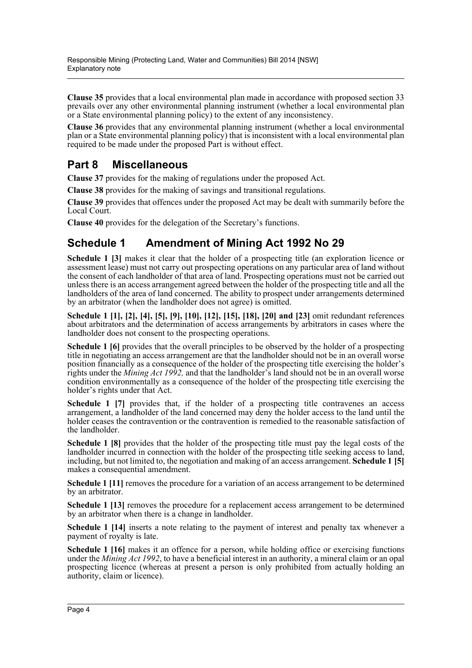**Clause 35** provides that a local environmental plan made in accordance with proposed section 33 prevails over any other environmental planning instrument (whether a local environmental plan or a State environmental planning policy) to the extent of any inconsistency.

**Clause 36** provides that any environmental planning instrument (whether a local environmental plan or a State environmental planning policy) that is inconsistent with a local environmental plan required to be made under the proposed Part is without effect.

## **Part 8 Miscellaneous**

**Clause 37** provides for the making of regulations under the proposed Act.

**Clause 38** provides for the making of savings and transitional regulations.

**Clause 39** provides that offences under the proposed Act may be dealt with summarily before the Local Court.

**Clause 40** provides for the delegation of the Secretary's functions.

## **Schedule 1 Amendment of Mining Act 1992 No 29**

**Schedule 1 [3]** makes it clear that the holder of a prospecting title (an exploration licence or assessment lease) must not carry out prospecting operations on any particular area of land without the consent of each landholder of that area of land. Prospecting operations must not be carried out unless there is an access arrangement agreed between the holder of the prospecting title and all the landholders of the area of land concerned. The ability to prospect under arrangements determined by an arbitrator (when the landholder does not agree) is omitted.

**Schedule 1 [1], [2], [4], [5], [9], [10], [12], [15], [18], [20] and [23]** omit redundant references about arbitrators and the determination of access arrangements by arbitrators in cases where the landholder does not consent to the prospecting operations.

**Schedule 1 [6]** provides that the overall principles to be observed by the holder of a prospecting title in negotiating an access arrangement are that the landholder should not be in an overall worse position financially as a consequence of the holder of the prospecting title exercising the holder's rights under the *Mining Act 1992,* and that the landholder's land should not be in an overall worse condition environmentally as a consequence of the holder of the prospecting title exercising the holder's rights under that Act.

**Schedule 1 [7]** provides that, if the holder of a prospecting title contravenes an access arrangement, a landholder of the land concerned may deny the holder access to the land until the holder ceases the contravention or the contravention is remedied to the reasonable satisfaction of the landholder.

**Schedule 1 [8]** provides that the holder of the prospecting title must pay the legal costs of the landholder incurred in connection with the holder of the prospecting title seeking access to land, including, but not limited to, the negotiation and making of an access arrangement. **Schedule 1 [5]** makes a consequential amendment.

**Schedule 1** [11] removes the procedure for a variation of an access arrangement to be determined by an arbitrator.

**Schedule 1 [13]** removes the procedure for a replacement access arrangement to be determined by an arbitrator when there is a change in landholder.

**Schedule 1 [14]** inserts a note relating to the payment of interest and penalty tax whenever a payment of royalty is late.

**Schedule 1 [16]** makes it an offence for a person, while holding office or exercising functions under the *Mining Act 1992*, to have a beneficial interest in an authority, a mineral claim or an opal prospecting licence (whereas at present a person is only prohibited from actually holding an authority, claim or licence).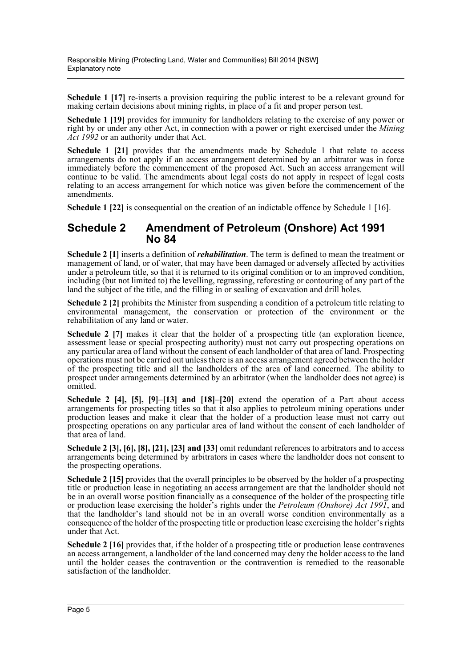**Schedule 1** [17] re-inserts a provision requiring the public interest to be a relevant ground for making certain decisions about mining rights, in place of a fit and proper person test.

**Schedule 1 [19]** provides for immunity for landholders relating to the exercise of any power or right by or under any other Act, in connection with a power or right exercised under the *Mining Act 1992* or an authority under that Act.

**Schedule 1 [21]** provides that the amendments made by Schedule 1 that relate to access arrangements do not apply if an access arrangement determined by an arbitrator was in force immediately before the commencement of the proposed Act. Such an access arrangement will continue to be valid. The amendments about legal costs do not apply in respect of legal costs relating to an access arrangement for which notice was given before the commencement of the amendments.

**Schedule 1 [22]** is consequential on the creation of an indictable offence by Schedule 1 [16].

### **Schedule 2 Amendment of Petroleum (Onshore) Act 1991 No 84**

**Schedule 2 [1]** inserts a definition of *rehabilitation*. The term is defined to mean the treatment or management of land, or of water, that may have been damaged or adversely affected by activities under a petroleum title, so that it is returned to its original condition or to an improved condition, including (but not limited to) the levelling, regrassing, reforesting or contouring of any part of the land the subject of the title, and the filling in or sealing of excavation and drill holes.

**Schedule 2 [2]** prohibits the Minister from suspending a condition of a petroleum title relating to environmental management, the conservation or protection of the environment or the rehabilitation of any land or water.

**Schedule 2** [7] makes it clear that the holder of a prospecting title (an exploration licence, assessment lease or special prospecting authority) must not carry out prospecting operations on any particular area of land without the consent of each landholder of that area of land. Prospecting operations must not be carried out unless there is an access arrangement agreed between the holder of the prospecting title and all the landholders of the area of land concerned. The ability to prospect under arrangements determined by an arbitrator (when the landholder does not agree) is omitted.

**Schedule 2 [4], [5], [9]–[13] and [18]–[20]** extend the operation of a Part about access arrangements for prospecting titles so that it also applies to petroleum mining operations under production leases and make it clear that the holder of a production lease must not carry out prospecting operations on any particular area of land without the consent of each landholder of that area of land.

**Schedule 2 [3], [6], [8], [21], [23] and [33]** omit redundant references to arbitrators and to access arrangements being determined by arbitrators in cases where the landholder does not consent to the prospecting operations.

**Schedule 2 [15]** provides that the overall principles to be observed by the holder of a prospecting title or production lease in negotiating an access arrangement are that the landholder should not be in an overall worse position financially as a consequence of the holder of the prospecting title or production lease exercising the holder's rights under the *Petroleum (Onshore) Act 1991*, and that the landholder's land should not be in an overall worse condition environmentally as a consequence of the holder of the prospecting title or production lease exercising the holder's rights under that Act.

**Schedule 2 [16]** provides that, if the holder of a prospecting title or production lease contravenes an access arrangement, a landholder of the land concerned may deny the holder access to the land until the holder ceases the contravention or the contravention is remedied to the reasonable satisfaction of the landholder.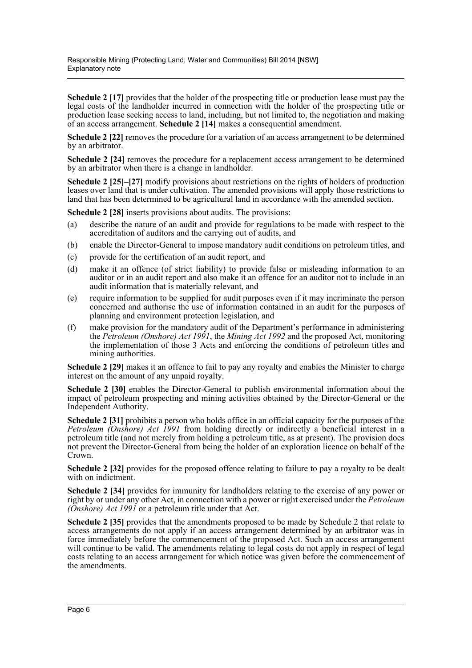**Schedule 2** [17] provides that the holder of the prospecting title or production lease must pay the legal costs of the landholder incurred in connection with the holder of the prospecting title or production lease seeking access to land, including, but not limited to, the negotiation and making of an access arrangement. **Schedule 2 [14]** makes a consequential amendment.

**Schedule 2 [22]** removes the procedure for a variation of an access arrangement to be determined by an arbitrator.

**Schedule 2 [24]** removes the procedure for a replacement access arrangement to be determined by an arbitrator when there is a change in landholder.

**Schedule 2 [25]–[27]** modify provisions about restrictions on the rights of holders of production leases over land that is under cultivation. The amended provisions will apply those restrictions to land that has been determined to be agricultural land in accordance with the amended section.

**Schedule 2 [28]** inserts provisions about audits. The provisions:

- (a) describe the nature of an audit and provide for regulations to be made with respect to the accreditation of auditors and the carrying out of audits, and
- (b) enable the Director-General to impose mandatory audit conditions on petroleum titles, and
- (c) provide for the certification of an audit report, and
- (d) make it an offence (of strict liability) to provide false or misleading information to an auditor or in an audit report and also make it an offence for an auditor not to include in an audit information that is materially relevant, and
- (e) require information to be supplied for audit purposes even if it may incriminate the person concerned and authorise the use of information contained in an audit for the purposes of planning and environment protection legislation, and
- (f) make provision for the mandatory audit of the Department's performance in administering the *Petroleum (Onshore) Act 1991*, the *Mining Act 1992* and the proposed Act, monitoring the implementation of those 3 Acts and enforcing the conditions of petroleum titles and mining authorities.

**Schedule 2 [29]** makes it an offence to fail to pay any royalty and enables the Minister to charge interest on the amount of any unpaid royalty.

**Schedule 2 [30]** enables the Director-General to publish environmental information about the impact of petroleum prospecting and mining activities obtained by the Director-General or the Independent Authority.

**Schedule 2** [31] prohibits a person who holds office in an official capacity for the purposes of the *Petroleum (Onshore) Act 1991* from holding directly or indirectly a beneficial interest in a petroleum title (and not merely from holding a petroleum title, as at present). The provision does not prevent the Director-General from being the holder of an exploration licence on behalf of the Crown.

**Schedule 2 [32]** provides for the proposed offence relating to failure to pay a royalty to be dealt with on indictment.

**Schedule 2 [34]** provides for immunity for landholders relating to the exercise of any power or right by or under any other Act, in connection with a power or right exercised under the *Petroleum (Onshore) Act 1991* or a petroleum title under that Act.

**Schedule 2 [35]** provides that the amendments proposed to be made by Schedule 2 that relate to access arrangements do not apply if an access arrangement determined by an arbitrator was in force immediately before the commencement of the proposed Act. Such an access arrangement will continue to be valid. The amendments relating to legal costs do not apply in respect of legal costs relating to an access arrangement for which notice was given before the commencement of the amendments.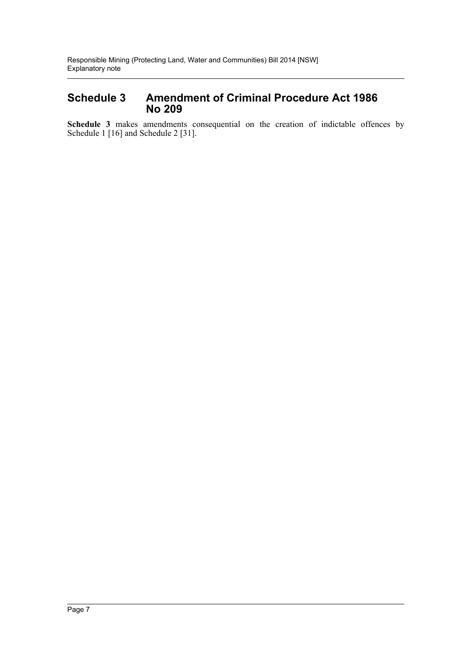### **Schedule 3 Amendment of Criminal Procedure Act 1986 No 209**

**Schedule 3** makes amendments consequential on the creation of indictable offences by Schedule 1 [16] and Schedule 2 [31].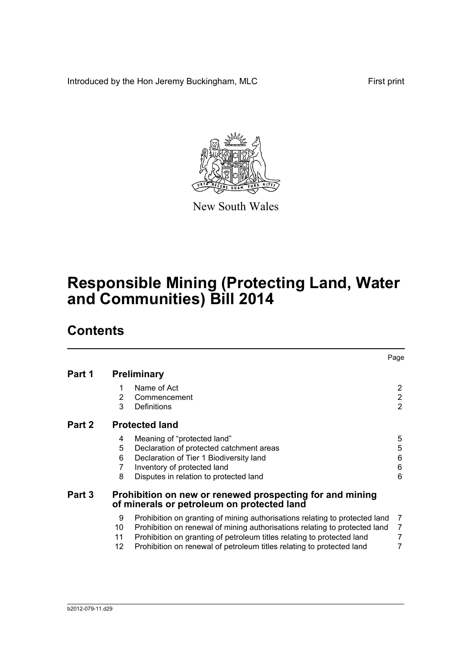Introduced by the Hon Jeremy Buckingham, MLC First print



New South Wales

# **Responsible Mining (Protecting Land, Water and Communities) Bill 2014**

## **Contents**

|        |                       |                                                                                                                                                                                                                                                                                                              | Page                                  |
|--------|-----------------------|--------------------------------------------------------------------------------------------------------------------------------------------------------------------------------------------------------------------------------------------------------------------------------------------------------------|---------------------------------------|
| Part 1 |                       | <b>Preliminary</b>                                                                                                                                                                                                                                                                                           |                                       |
|        | 1<br>2<br>3           | Name of Act<br>Commencement<br>Definitions                                                                                                                                                                                                                                                                   | 2<br>$\overline{2}$<br>$\overline{2}$ |
| Part 2 |                       | <b>Protected land</b>                                                                                                                                                                                                                                                                                        |                                       |
|        | 4<br>5<br>6<br>7<br>8 | Meaning of "protected land"<br>Declaration of protected catchment areas<br>Declaration of Tier 1 Biodiversity land<br>Inventory of protected land<br>Disputes in relation to protected land                                                                                                                  | 5<br>5<br>6<br>6<br>6                 |
| Part 3 |                       | Prohibition on new or renewed prospecting for and mining<br>of minerals or petroleum on protected land                                                                                                                                                                                                       |                                       |
|        | 9<br>10<br>11<br>12   | Prohibition on granting of mining authorisations relating to protected land<br>Prohibition on renewal of mining authorisations relating to protected land<br>Prohibition on granting of petroleum titles relating to protected land<br>Prohibition on renewal of petroleum titles relating to protected land | 7<br>$\overline{7}$<br>7<br>7         |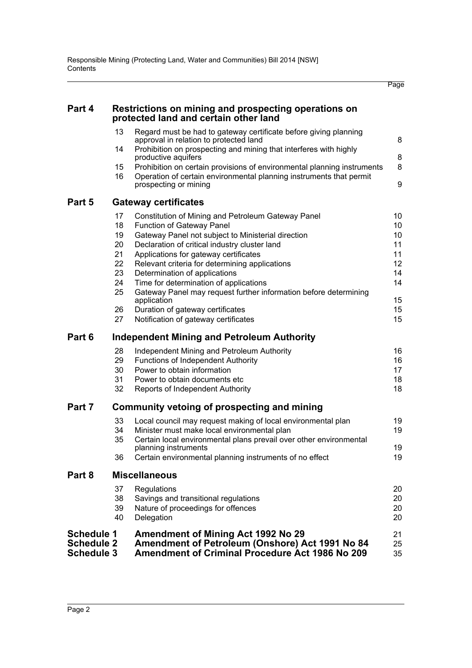Page

| Part 4                                                      |                | Restrictions on mining and prospecting operations on<br>protected land and certain other land                                                          |                |
|-------------------------------------------------------------|----------------|--------------------------------------------------------------------------------------------------------------------------------------------------------|----------------|
|                                                             | 13             | Regard must be had to gateway certificate before giving planning<br>approval in relation to protected land                                             | 8              |
|                                                             | 14             | Prohibition on prospecting and mining that interferes with highly<br>productive aquifers                                                               | 8              |
|                                                             | 15             | Prohibition on certain provisions of environmental planning instruments                                                                                | 8              |
|                                                             | 16             | Operation of certain environmental planning instruments that permit<br>prospecting or mining                                                           | 9              |
| Part 5                                                      |                | <b>Gateway certificates</b>                                                                                                                            |                |
|                                                             | 17<br>18<br>19 | Constitution of Mining and Petroleum Gateway Panel<br>Function of Gateway Panel<br>Gateway Panel not subject to Ministerial direction                  | 10<br>10<br>10 |
|                                                             | 20<br>21       | Declaration of critical industry cluster land<br>Applications for gateway certificates                                                                 | 11<br>11       |
|                                                             | 22             | Relevant criteria for determining applications                                                                                                         | 12             |
|                                                             | 23<br>24       | Determination of applications                                                                                                                          | 14<br>14       |
|                                                             | 25             | Time for determination of applications<br>Gateway Panel may request further information before determining                                             |                |
|                                                             | 26             | application<br>Duration of gateway certificates                                                                                                        | 15<br>15       |
|                                                             | 27             | Notification of gateway certificates                                                                                                                   | 15             |
| Part 6                                                      |                | Independent Mining and Petroleum Authority                                                                                                             |                |
|                                                             | 28             | Independent Mining and Petroleum Authority                                                                                                             | 16             |
|                                                             | 29<br>30       | <b>Functions of Independent Authority</b><br>Power to obtain information                                                                               | 16<br>17       |
|                                                             | 31             | Power to obtain documents etc.                                                                                                                         | 18             |
|                                                             | 32             | Reports of Independent Authority                                                                                                                       | 18             |
| Part 7                                                      |                | Community vetoing of prospecting and mining                                                                                                            |                |
|                                                             | 33             | Local council may request making of local environmental plan                                                                                           | 19             |
|                                                             | 34<br>35       | Minister must make local environmental plan<br>Certain local environmental plans prevail over other environmental                                      | 19             |
|                                                             |                | planning instruments                                                                                                                                   | 19             |
|                                                             | 36             | Certain environmental planning instruments of no effect                                                                                                | 19             |
| Part 8                                                      |                | <b>Miscellaneous</b>                                                                                                                                   |                |
|                                                             | 37             | Regulations                                                                                                                                            | 20             |
|                                                             | 38<br>39       | Savings and transitional regulations<br>Nature of proceedings for offences                                                                             | 20<br>20       |
|                                                             | 40             | Delegation                                                                                                                                             | 20             |
| <b>Schedule 1</b><br><b>Schedule 2</b><br><b>Schedule 3</b> |                | <b>Amendment of Mining Act 1992 No 29</b><br>Amendment of Petroleum (Onshore) Act 1991 No 84<br><b>Amendment of Criminal Procedure Act 1986 No 209</b> | 21<br>25<br>35 |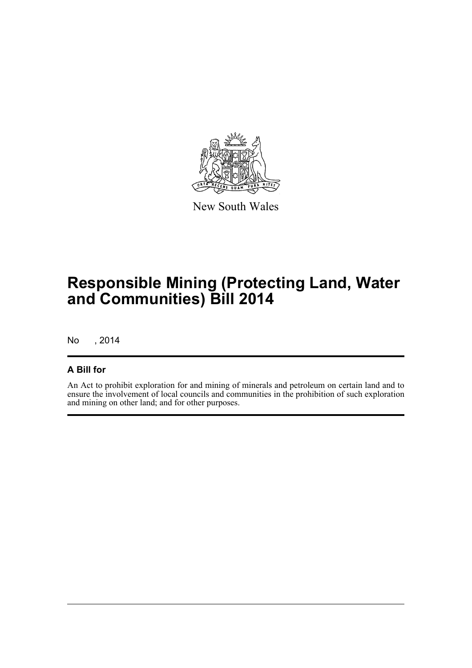

New South Wales

## **Responsible Mining (Protecting Land, Water and Communities) Bill 2014**

No , 2014

### **A Bill for**

An Act to prohibit exploration for and mining of minerals and petroleum on certain land and to ensure the involvement of local councils and communities in the prohibition of such exploration and mining on other land; and for other purposes.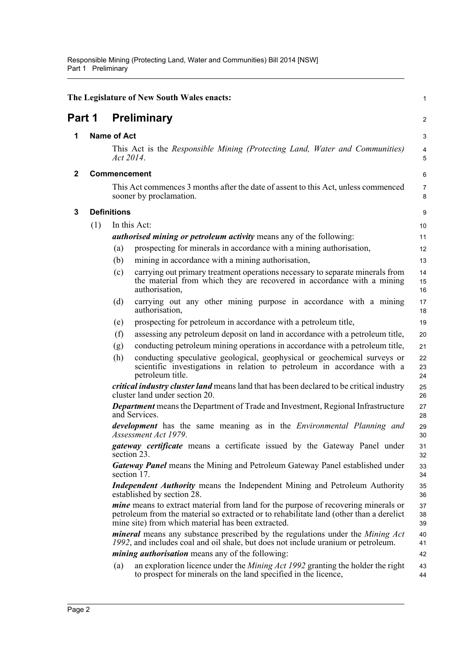<span id="page-10-3"></span><span id="page-10-2"></span><span id="page-10-1"></span><span id="page-10-0"></span>

|        |     |                    | The Legislature of New South Wales enacts:                                                                                                                                                                                                 | 1              |
|--------|-----|--------------------|--------------------------------------------------------------------------------------------------------------------------------------------------------------------------------------------------------------------------------------------|----------------|
| Part 1 |     |                    | <b>Preliminary</b>                                                                                                                                                                                                                         | $\overline{a}$ |
| 1      |     | <b>Name of Act</b> |                                                                                                                                                                                                                                            | 3              |
|        |     | Act 2014.          | This Act is the Responsible Mining (Protecting Land, Water and Communities)                                                                                                                                                                | 4<br>5         |
| 2      |     |                    | <b>Commencement</b>                                                                                                                                                                                                                        | 6              |
|        |     |                    | This Act commences 3 months after the date of assent to this Act, unless commenced<br>sooner by proclamation.                                                                                                                              | 7<br>8         |
| 3      |     | <b>Definitions</b> |                                                                                                                                                                                                                                            | 9              |
|        | (1) |                    | In this Act:                                                                                                                                                                                                                               | 10             |
|        |     |                    | <i>authorised mining or petroleum activity</i> means any of the following:                                                                                                                                                                 | 11             |
|        |     | (a)                | prospecting for minerals in accordance with a mining authorisation,                                                                                                                                                                        | 12             |
|        |     | (b)                | mining in accordance with a mining authorisation,                                                                                                                                                                                          | 13             |
|        |     | (c)                | carrying out primary treatment operations necessary to separate minerals from<br>the material from which they are recovered in accordance with a mining<br>authorisation,                                                                  | 14<br>15<br>16 |
|        |     | (d)                | carrying out any other mining purpose in accordance with a mining<br>authorisation,                                                                                                                                                        | 17<br>18       |
|        |     | (e)                | prospecting for petroleum in accordance with a petroleum title,                                                                                                                                                                            | 19             |
|        |     | (f)                | assessing any petroleum deposit on land in accordance with a petroleum title,                                                                                                                                                              | 20             |
|        |     | (g)                | conducting petroleum mining operations in accordance with a petroleum title,                                                                                                                                                               | 21             |
|        |     | (h)                | conducting speculative geological, geophysical or geochemical surveys or<br>scientific investigations in relation to petroleum in accordance with a<br>petroleum title.                                                                    | 22<br>23<br>24 |
|        |     |                    | <i>critical industry cluster land</i> means land that has been declared to be critical industry<br>cluster land under section 20.                                                                                                          | 25<br>26       |
|        |     |                    | <b>Department</b> means the Department of Trade and Investment, Regional Infrastructure<br>and Services.                                                                                                                                   | 27<br>28       |
|        |     |                    | <i>development</i> has the same meaning as in the <i>Environmental Planning and</i><br>Assessment Act 1979.                                                                                                                                | 29<br>30       |
|        |     |                    | gateway certificate means a certificate issued by the Gateway Panel under<br>section 23.                                                                                                                                                   | 31<br>32       |
|        |     |                    | <b>Gateway Panel means the Mining and Petroleum Gateway Panel established under</b><br>section 17.                                                                                                                                         | 33<br>34       |
|        |     |                    | <b>Independent Authority</b> means the Independent Mining and Petroleum Authority<br>established by section 28.                                                                                                                            | 35<br>36       |
|        |     |                    | <i>mine</i> means to extract material from land for the purpose of recovering minerals or<br>petroleum from the material so extracted or to rehabilitate land (other than a derelict<br>mine site) from which material has been extracted. | 37<br>38<br>39 |
|        |     |                    | <i>mineral</i> means any substance prescribed by the regulations under the <i>Mining Act</i><br>1992, and includes coal and oil shale, but does not include uranium or petroleum.                                                          | 40<br>41       |
|        |     |                    | <i>mining authorisation</i> means any of the following:                                                                                                                                                                                    | 42             |
|        |     | (a)                | an exploration licence under the <i>Mining Act 1992</i> granting the holder the right<br>to prospect for minerals on the land specified in the licence,                                                                                    | 43<br>44       |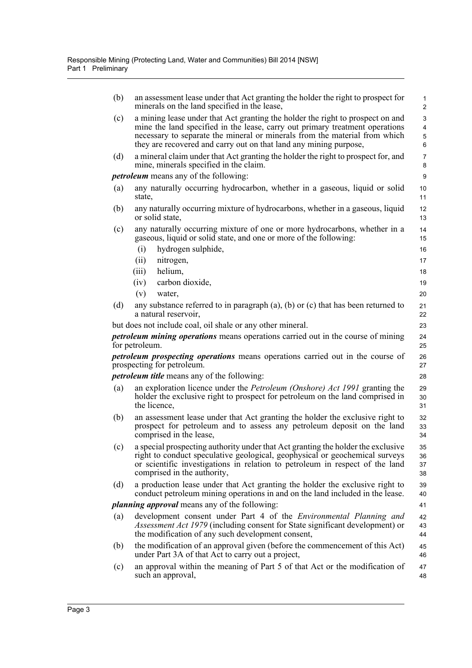| (b) | an assessment lease under that Act granting the holder the right to prospect for<br>minerals on the land specified in the lease,                                                                                                                                                                                  | $\mathbf{1}$<br>$\overline{c}$ |
|-----|-------------------------------------------------------------------------------------------------------------------------------------------------------------------------------------------------------------------------------------------------------------------------------------------------------------------|--------------------------------|
| (c) | a mining lease under that Act granting the holder the right to prospect on and<br>mine the land specified in the lease, carry out primary treatment operations<br>necessary to separate the mineral or minerals from the material from which<br>they are recovered and carry out on that land any mining purpose, | 3<br>$\overline{4}$<br>5<br>6  |
| (d) | a mineral claim under that Act granting the holder the right to prospect for, and<br>mine, minerals specified in the claim.                                                                                                                                                                                       | $\overline{7}$<br>8            |
|     | <i>petroleum</i> means any of the following:                                                                                                                                                                                                                                                                      | 9                              |
| (a) | any naturally occurring hydrocarbon, whether in a gaseous, liquid or solid<br>state.                                                                                                                                                                                                                              | 10<br>11                       |
| (b) | any naturally occurring mixture of hydrocarbons, whether in a gaseous, liquid<br>or solid state,                                                                                                                                                                                                                  | 12<br>13                       |
| (c) | any naturally occurring mixture of one or more hydrocarbons, whether in a<br>gaseous, liquid or solid state, and one or more of the following:                                                                                                                                                                    | 14<br>15                       |
|     | (i)<br>hydrogen sulphide,                                                                                                                                                                                                                                                                                         | 16                             |
|     | nitrogen,<br>(ii)                                                                                                                                                                                                                                                                                                 | 17                             |
|     | helium,<br>(iii)                                                                                                                                                                                                                                                                                                  | 18                             |
|     | carbon dioxide,<br>(iv)                                                                                                                                                                                                                                                                                           | 19                             |
|     | (v)<br>water,                                                                                                                                                                                                                                                                                                     | 20                             |
| (d) | any substance referred to in paragraph $(a)$ , $(b)$ or $(c)$ that has been returned to<br>a natural reservoir,                                                                                                                                                                                                   | 21<br>22                       |
|     | but does not include coal, oil shale or any other mineral.                                                                                                                                                                                                                                                        | 23                             |
|     | petroleum mining operations means operations carried out in the course of mining<br>for petroleum.                                                                                                                                                                                                                | 24<br>25                       |
|     | <i>petroleum prospecting operations</i> means operations carried out in the course of<br>prospecting for petroleum.                                                                                                                                                                                               | 26<br>27                       |
|     | <i>petroleum title</i> means any of the following:                                                                                                                                                                                                                                                                | 28                             |
| (a) | an exploration licence under the <i>Petroleum (Onshore) Act 1991</i> granting the<br>holder the exclusive right to prospect for petroleum on the land comprised in<br>the licence,                                                                                                                                | 29<br>30<br>31                 |
| (b) | an assessment lease under that Act granting the holder the exclusive right to<br>prospect for petroleum and to assess any petroleum deposit on the land<br>comprised in the lease,                                                                                                                                | 32<br>33<br>34                 |
| (c) | a special prospecting authority under that Act granting the holder the exclusive<br>right to conduct speculative geological, geophysical or geochemical surveys<br>or scientific investigations in relation to petroleum in respect of the land<br>comprised in the authority,                                    | 35<br>36<br>37<br>38           |
| (d) | a production lease under that Act granting the holder the exclusive right to<br>conduct petroleum mining operations in and on the land included in the lease.                                                                                                                                                     | 39<br>40                       |
|     | <i>planning approval</i> means any of the following:                                                                                                                                                                                                                                                              | 41                             |
| (a) | development consent under Part 4 of the <i>Environmental Planning and</i><br><i>Assessment Act 1979</i> (including consent for State significant development) or<br>the modification of any such development consent,                                                                                             | 42<br>43<br>44                 |
| (b) | the modification of an approval given (before the commencement of this Act)<br>under Part 3A of that Act to carry out a project,                                                                                                                                                                                  | 45<br>46                       |
| (c) | an approval within the meaning of Part 5 of that Act or the modification of<br>such an approval,                                                                                                                                                                                                                  | 47<br>48                       |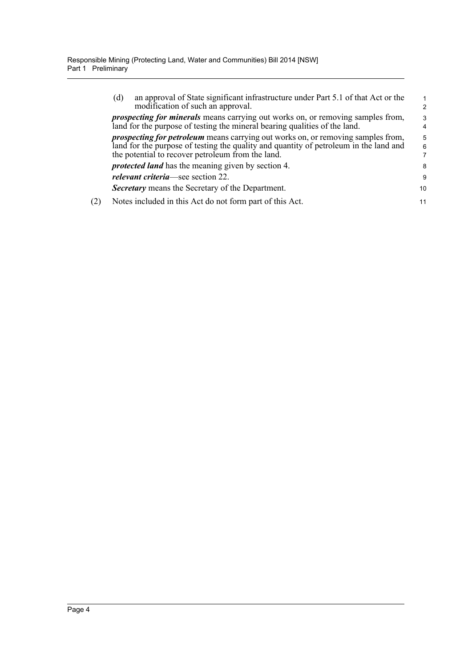| an approval of State significant infrastructure under Part 5.1 of that Act or the<br>(d)<br>modification of such an approval.                                                                                                         | $\mathcal{P}$ |
|---------------------------------------------------------------------------------------------------------------------------------------------------------------------------------------------------------------------------------------|---------------|
| <i>prospecting for minerals</i> means carrying out works on, or removing samples from,<br>land for the purpose of testing the mineral bearing qualities of the land.                                                                  | 3<br>4        |
| <i>prospecting for petroleum</i> means carrying out works on, or removing samples from,<br>land for the purpose of testing the quality and quantity of petroleum in the land and<br>the potential to recover petroleum from the land. | 5<br>6        |
| <i>protected land</i> has the meaning given by section 4.                                                                                                                                                                             | 8             |
| <i>relevant criteria</i> —see section 22.                                                                                                                                                                                             | 9             |
| <b>Secretary</b> means the Secretary of the Department.                                                                                                                                                                               | 10            |
| Notes included in this Act do not form part of this Act.                                                                                                                                                                              | 11            |
|                                                                                                                                                                                                                                       |               |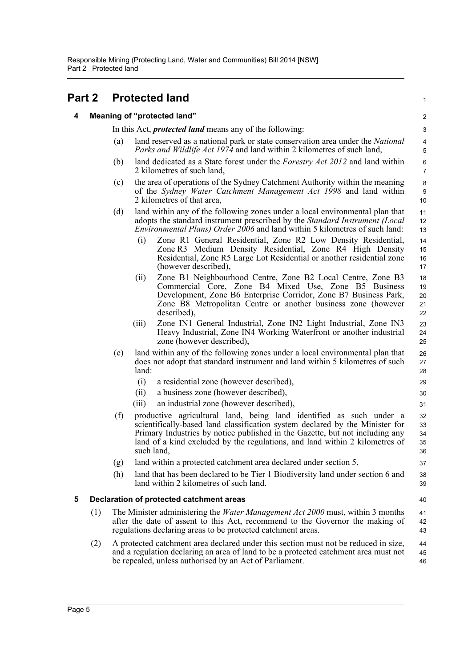<span id="page-13-2"></span><span id="page-13-1"></span><span id="page-13-0"></span>

| Part 2 |     |     | <b>Protected land</b>                                                                                                                                                                                                                                                                                                            | $\mathbf{1}$               |
|--------|-----|-----|----------------------------------------------------------------------------------------------------------------------------------------------------------------------------------------------------------------------------------------------------------------------------------------------------------------------------------|----------------------------|
| 4      |     |     | <b>Meaning of "protected land"</b>                                                                                                                                                                                                                                                                                               | $\overline{\mathbf{c}}$    |
|        |     |     | In this Act, <i>protected land</i> means any of the following:                                                                                                                                                                                                                                                                   | 3                          |
|        |     | (a) | land reserved as a national park or state conservation area under the <i>National</i><br>Parks and Wildlife Act 1974 and land within 2 kilometres of such land,                                                                                                                                                                  | 4<br>5                     |
|        |     | (b) | land dedicated as a State forest under the <i>Forestry Act 2012</i> and land within<br>2 kilometres of such land,                                                                                                                                                                                                                | 6<br>$\overline{7}$        |
|        |     | (c) | the area of operations of the Sydney Catchment Authority within the meaning<br>of the Sydney Water Catchment Management Act 1998 and land within<br>2 kilometres of that area,                                                                                                                                                   | $\bf 8$<br>9<br>10         |
|        |     | (d) | land within any of the following zones under a local environmental plan that<br>adopts the standard instrument prescribed by the <i>Standard Instrument (Local</i><br>Environmental Plans) Order 2006 and land within 5 kilometres of such land:                                                                                 | 11<br>12<br>13             |
|        |     |     | Zone R1 General Residential, Zone R2 Low Density Residential,<br>(i)<br>Zone R3 Medium Density Residential, Zone R4 High Density<br>Residential, Zone R5 Large Lot Residential or another residential zone<br>(however described),                                                                                               | 14<br>15<br>16<br>17       |
|        |     |     | Zone B1 Neighbourhood Centre, Zone B2 Local Centre, Zone B3<br>(ii)<br>Commercial Core, Zone B4 Mixed Use, Zone B5 Business<br>Development, Zone B6 Enterprise Corridor, Zone B7 Business Park,<br>Zone B8 Metropolitan Centre or another business zone (however<br>described),                                                  | 18<br>19<br>20<br>21<br>22 |
|        |     |     | Zone IN1 General Industrial, Zone IN2 Light Industrial, Zone IN3<br>(iii)<br>Heavy Industrial, Zone IN4 Working Waterfront or another industrial<br>zone (however described),                                                                                                                                                    | 23<br>24<br>25             |
|        |     | (e) | land within any of the following zones under a local environmental plan that<br>does not adopt that standard instrument and land within 5 kilometres of such<br>land:                                                                                                                                                            | 26<br>27<br>28             |
|        |     |     | (i)<br>a residential zone (however described),                                                                                                                                                                                                                                                                                   | 29                         |
|        |     |     | a business zone (however described),<br>(i)                                                                                                                                                                                                                                                                                      | 30                         |
|        |     |     | an industrial zone (however described),<br>(iii)                                                                                                                                                                                                                                                                                 | 31                         |
|        |     | (f) | productive agricultural land, being land identified as such under a<br>scientifically-based land classification system declared by the Minister for<br>Primary Industries by notice published in the Gazette, but not including any<br>land of a kind excluded by the regulations, and land within 2 kilometres of<br>such land, | 32<br>33<br>34<br>35<br>36 |
|        |     | (g) | land within a protected catchment area declared under section 5,                                                                                                                                                                                                                                                                 | 37                         |
|        |     | (h) | land that has been declared to be Tier 1 Biodiversity land under section 6 and<br>land within 2 kilometres of such land.                                                                                                                                                                                                         | 38<br>39                   |
| 5      |     |     | Declaration of protected catchment areas                                                                                                                                                                                                                                                                                         | 40                         |
|        | (1) |     | The Minister administering the <i>Water Management Act 2000</i> must, within 3 months<br>after the date of assent to this Act, recommend to the Governor the making of<br>regulations declaring areas to be protected catchment areas.                                                                                           | 41<br>42<br>43             |
|        | (2) |     | A protected catchment area declared under this section must not be reduced in size,<br>and a regulation declaring an area of land to be a protected catchment area must not<br>be repealed, unless authorised by an Act of Parliament.                                                                                           | 44<br>45<br>46             |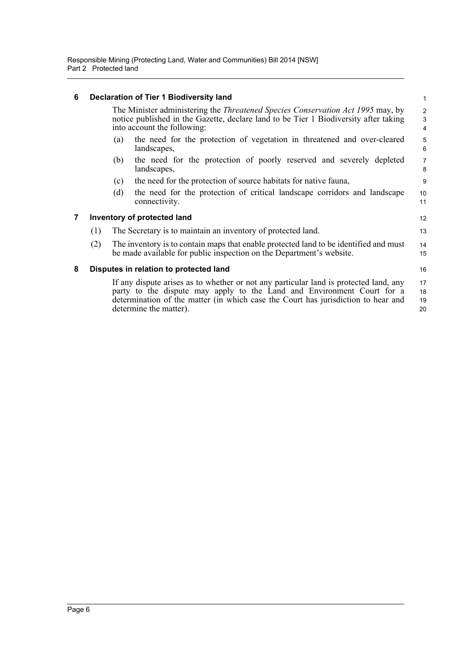#### <span id="page-14-0"></span>**6 Declaration of Tier 1 Biodiversity land**

The Minister administering the *Threatened Species Conservation Act 1995* may, by notice published in the Gazette, declare land to be Tier 1 Biodiversity after taking into account the following:

12 13

16

- (a) the need for the protection of vegetation in threatened and over-cleared landscapes,
- (b) the need for the protection of poorly reserved and severely depleted landscapes,
- (c) the need for the protection of source habitats for native fauna,
- (d) the need for the protection of critical landscape corridors and landscape connectivity. 10 11

#### <span id="page-14-1"></span>**7 Inventory of protected land**

- (1) The Secretary is to maintain an inventory of protected land.
- (2) The inventory is to contain maps that enable protected land to be identified and must be made available for public inspection on the Department's website. 14 15

### <span id="page-14-2"></span>**8 Disputes in relation to protected land**

If any dispute arises as to whether or not any particular land is protected land, any party to the dispute may apply to the Land and Environment Court for a determination of the matter (in which case the Court has jurisdiction to hear and determine the matter). 17 18 19 20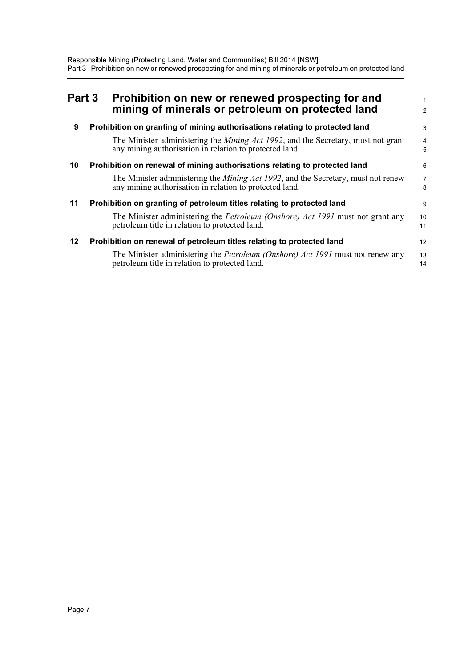<span id="page-15-4"></span><span id="page-15-3"></span><span id="page-15-2"></span><span id="page-15-1"></span><span id="page-15-0"></span>

| Part 3 | Prohibition on new or renewed prospecting for and<br>mining of minerals or petroleum on protected land                                               | 2                   |
|--------|------------------------------------------------------------------------------------------------------------------------------------------------------|---------------------|
| 9      | Prohibition on granting of mining authorisations relating to protected land                                                                          | 3                   |
|        | The Minister administering the <i>Mining Act 1992</i> , and the Secretary, must not grant<br>any mining authorisation in relation to protected land. | 4<br>5              |
| 10     | Prohibition on renewal of mining authorisations relating to protected land                                                                           | 6                   |
|        | The Minister administering the <i>Mining Act 1992</i> , and the Secretary, must not renew<br>any mining authorisation in relation to protected land. | $\overline{7}$<br>8 |
| 11     | Prohibition on granting of petroleum titles relating to protected land                                                                               | 9                   |
|        | The Minister administering the <i>Petroleum (Onshore) Act 1991</i> must not grant any<br>petroleum title in relation to protected land.              | 10<br>11            |
| 12     | Prohibition on renewal of petroleum titles relating to protected land                                                                                | 12                  |
|        | The Minister administering the <i>Petroleum (Onshore) Act 1991</i> must not renew any<br>petroleum title in relation to protected land.              | 13<br>14            |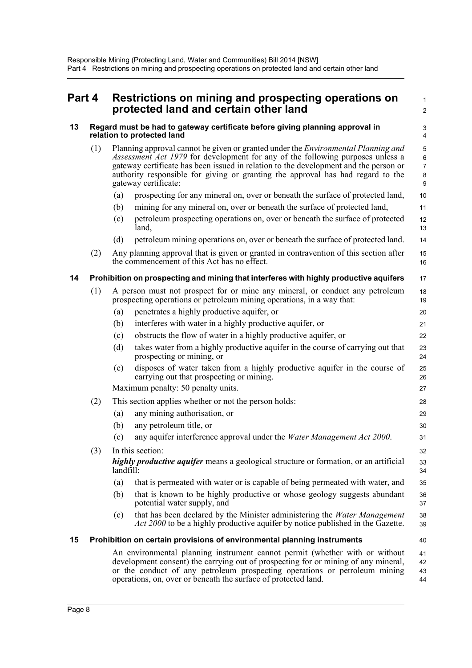<span id="page-16-2"></span><span id="page-16-1"></span><span id="page-16-0"></span>

| Part 4 |     |                                                                                                            | Restrictions on mining and prospecting operations on<br>protected land and certain other land                                                                                                                                                                                                                                                                                 | $\mathbf{1}$<br>$\overline{2}$                |
|--------|-----|------------------------------------------------------------------------------------------------------------|-------------------------------------------------------------------------------------------------------------------------------------------------------------------------------------------------------------------------------------------------------------------------------------------------------------------------------------------------------------------------------|-----------------------------------------------|
| 13     |     | Regard must be had to gateway certificate before giving planning approval in<br>relation to protected land |                                                                                                                                                                                                                                                                                                                                                                               |                                               |
|        | (1) |                                                                                                            | Planning approval cannot be given or granted under the <i>Environmental Planning and</i><br>Assessment Act 1979 for development for any of the following purposes unless a<br>gateway certificate has been issued in relation to the development and the person or<br>authority responsible for giving or granting the approval has had regard to the<br>gateway certificate: | 5<br>$\,6\,$<br>$\overline{7}$<br>$\bf8$<br>9 |
|        |     | (a)                                                                                                        | prospecting for any mineral on, over or beneath the surface of protected land,                                                                                                                                                                                                                                                                                                | 10                                            |
|        |     | (b)                                                                                                        | mining for any mineral on, over or beneath the surface of protected land,                                                                                                                                                                                                                                                                                                     | 11                                            |
|        |     | (c)                                                                                                        | petroleum prospecting operations on, over or beneath the surface of protected<br>land,                                                                                                                                                                                                                                                                                        | 12<br>13                                      |
|        |     | (d)                                                                                                        | petroleum mining operations on, over or beneath the surface of protected land.                                                                                                                                                                                                                                                                                                | 14                                            |
|        | (2) |                                                                                                            | Any planning approval that is given or granted in contravention of this section after<br>the commencement of this Act has no effect.                                                                                                                                                                                                                                          | 15<br>16                                      |
| 14     |     |                                                                                                            | Prohibition on prospecting and mining that interferes with highly productive aquifers                                                                                                                                                                                                                                                                                         | 17                                            |
|        | (1) |                                                                                                            | A person must not prospect for or mine any mineral, or conduct any petroleum<br>prospecting operations or petroleum mining operations, in a way that:                                                                                                                                                                                                                         | 18<br>19                                      |
|        |     | (a)                                                                                                        | penetrates a highly productive aquifer, or                                                                                                                                                                                                                                                                                                                                    | 20                                            |
|        |     | (b)                                                                                                        | interferes with water in a highly productive aquifer, or                                                                                                                                                                                                                                                                                                                      | 21                                            |
|        |     | (c)                                                                                                        | obstructs the flow of water in a highly productive aquifer, or                                                                                                                                                                                                                                                                                                                | 22                                            |
|        |     | (d)                                                                                                        | takes water from a highly productive aquifer in the course of carrying out that<br>prospecting or mining, or                                                                                                                                                                                                                                                                  | 23<br>24                                      |
|        |     | (e)                                                                                                        | disposes of water taken from a highly productive aquifer in the course of<br>carrying out that prospecting or mining.                                                                                                                                                                                                                                                         | 25<br>26                                      |
|        |     |                                                                                                            | Maximum penalty: 50 penalty units.                                                                                                                                                                                                                                                                                                                                            | 27                                            |
|        | (2) |                                                                                                            | This section applies whether or not the person holds:                                                                                                                                                                                                                                                                                                                         | 28                                            |
|        |     | (a)                                                                                                        | any mining authorisation, or                                                                                                                                                                                                                                                                                                                                                  | 29                                            |
|        |     | (b)                                                                                                        | any petroleum title, or                                                                                                                                                                                                                                                                                                                                                       | 30                                            |
|        |     | (c)                                                                                                        | any aquifer interference approval under the Water Management Act 2000.                                                                                                                                                                                                                                                                                                        | 31                                            |
|        | (3) |                                                                                                            | In this section:                                                                                                                                                                                                                                                                                                                                                              | 32                                            |
|        |     | landfill:                                                                                                  | <i>highly productive aquifer</i> means a geological structure or formation, or an artificial                                                                                                                                                                                                                                                                                  | 33<br>34                                      |
|        |     | (a)                                                                                                        | that is permeated with water or is capable of being permeated with water, and                                                                                                                                                                                                                                                                                                 | 35                                            |
|        |     | (b)                                                                                                        | that is known to be highly productive or whose geology suggests abundant<br>potential water supply, and                                                                                                                                                                                                                                                                       | 36<br>37                                      |
|        |     | (c)                                                                                                        | that has been declared by the Minister administering the <i>Water Management</i><br><i>Act 2000</i> to be a highly productive aquifer by notice published in the Gazette.                                                                                                                                                                                                     | 38<br>39                                      |
| 15     |     |                                                                                                            | Prohibition on certain provisions of environmental planning instruments                                                                                                                                                                                                                                                                                                       | 40                                            |
|        |     |                                                                                                            | An environmental planning instrument cannot permit (whether with or without<br>development consent) the carrying out of prospecting for or mining of any mineral,<br>or the conduct of any petroleum prospecting operations or petroleum mining                                                                                                                               | 41<br>42<br>43                                |

<span id="page-16-3"></span>operations, on, over or beneath the surface of protected land.

44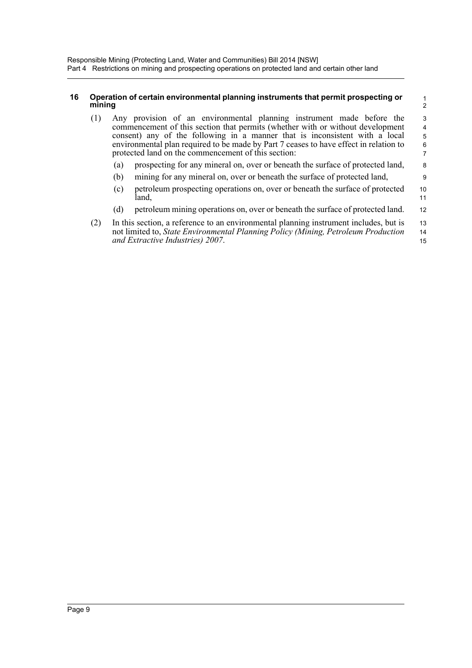### <span id="page-17-0"></span>**16 Operation of certain environmental planning instruments that permit prospecting or mining**

| (1)    |     | Any provision of an environmental planning instrument made before the<br>commencement of this section that permits (whether with or without development<br>consent) any of the following in a manner that is inconsistent with a local<br>environmental plan required to be made by Part 7 ceases to have effect in relation to<br>protected land on the commencement of this section: |          |  |  |  |  |
|--------|-----|----------------------------------------------------------------------------------------------------------------------------------------------------------------------------------------------------------------------------------------------------------------------------------------------------------------------------------------------------------------------------------------|----------|--|--|--|--|
|        | (a) | prospecting for any mineral on, over or beneath the surface of protected land,                                                                                                                                                                                                                                                                                                         | 8        |  |  |  |  |
|        | (b) | mining for any mineral on, over or beneath the surface of protected land,                                                                                                                                                                                                                                                                                                              | 9        |  |  |  |  |
|        | (c) | petroleum prospecting operations on, over or beneath the surface of protected<br>land.                                                                                                                                                                                                                                                                                                 | 10<br>11 |  |  |  |  |
|        | (d) | petroleum mining operations on, over or beneath the surface of protected land.                                                                                                                                                                                                                                                                                                         | 12       |  |  |  |  |
| $\sim$ |     | $\mathbf{r}$ at the contract the contract of the contract of the contract of the contract of the contract of the contract of the contract of the contract of the contract of the contract of the contract of the contract of the                                                                                                                                                       |          |  |  |  |  |

1 2

| (2) | In this section, a reference to an environmental planning instrument includes, but is    | 13 |
|-----|------------------------------------------------------------------------------------------|----|
|     | not limited to, <i>State Environmental Planning Policy (Mining, Petroleum Production</i> | 14 |
|     | and Extractive Industries) 2007.                                                         | 15 |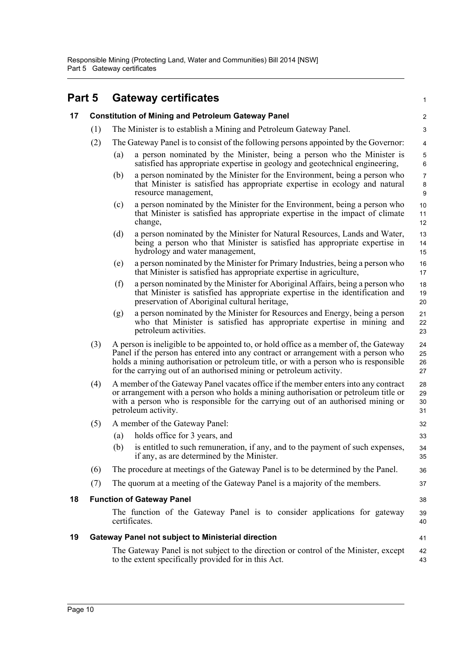<span id="page-18-3"></span><span id="page-18-2"></span><span id="page-18-1"></span><span id="page-18-0"></span>

| Part 5 |                                  |                                                                                                                                                                                                                                                                                                                                            | <b>Gateway certificates</b>                                                                                                                                                                                      | 1                              |  |
|--------|----------------------------------|--------------------------------------------------------------------------------------------------------------------------------------------------------------------------------------------------------------------------------------------------------------------------------------------------------------------------------------------|------------------------------------------------------------------------------------------------------------------------------------------------------------------------------------------------------------------|--------------------------------|--|
| 17     |                                  | <b>Constitution of Mining and Petroleum Gateway Panel</b>                                                                                                                                                                                                                                                                                  |                                                                                                                                                                                                                  |                                |  |
|        | (1)                              |                                                                                                                                                                                                                                                                                                                                            | The Minister is to establish a Mining and Petroleum Gateway Panel.                                                                                                                                               |                                |  |
|        | (2)                              |                                                                                                                                                                                                                                                                                                                                            | The Gateway Panel is to consist of the following persons appointed by the Governor:                                                                                                                              | 4                              |  |
|        |                                  | (a)                                                                                                                                                                                                                                                                                                                                        | a person nominated by the Minister, being a person who the Minister is<br>satisfied has appropriate expertise in geology and geotechnical engineering,                                                           | 5<br>$6\phantom{1}6$           |  |
|        |                                  | (b)                                                                                                                                                                                                                                                                                                                                        | a person nominated by the Minister for the Environment, being a person who<br>that Minister is satisfied has appropriate expertise in ecology and natural<br>resource management,                                | $\overline{7}$<br>$\bf 8$<br>9 |  |
|        |                                  | (c)                                                                                                                                                                                                                                                                                                                                        | a person nominated by the Minister for the Environment, being a person who<br>that Minister is satisfied has appropriate expertise in the impact of climate<br>change,                                           | 10<br>11<br>12                 |  |
|        |                                  | (d)                                                                                                                                                                                                                                                                                                                                        | a person nominated by the Minister for Natural Resources, Lands and Water,<br>being a person who that Minister is satisfied has appropriate expertise in<br>hydrology and water management,                      | 13<br>14<br>15                 |  |
|        |                                  | (e)                                                                                                                                                                                                                                                                                                                                        | a person nominated by the Minister for Primary Industries, being a person who<br>that Minister is satisfied has appropriate expertise in agriculture,                                                            | 16<br>17                       |  |
|        |                                  | (f)                                                                                                                                                                                                                                                                                                                                        | a person nominated by the Minister for Aboriginal Affairs, being a person who<br>that Minister is satisfied has appropriate expertise in the identification and<br>preservation of Aboriginal cultural heritage, | 18<br>19<br>20                 |  |
|        |                                  | (g)                                                                                                                                                                                                                                                                                                                                        | a person nominated by the Minister for Resources and Energy, being a person<br>who that Minister is satisfied has appropriate expertise in mining and<br>petroleum activities.                                   | 21<br>22<br>23                 |  |
|        | (3)                              | A person is ineligible to be appointed to, or hold office as a member of, the Gateway<br>Panel if the person has entered into any contract or arrangement with a person who<br>holds a mining authorisation or petroleum title, or with a person who is responsible<br>for the carrying out of an authorised mining or petroleum activity. |                                                                                                                                                                                                                  |                                |  |
|        | (4)                              | A member of the Gateway Panel vacates office if the member enters into any contract<br>or arrangement with a person who holds a mining authorisation or petroleum title or<br>with a person who is responsible for the carrying out of an authorised mining or<br>petroleum activity.                                                      |                                                                                                                                                                                                                  |                                |  |
|        | (5)                              |                                                                                                                                                                                                                                                                                                                                            | A member of the Gateway Panel:                                                                                                                                                                                   | 32                             |  |
|        |                                  | (a)                                                                                                                                                                                                                                                                                                                                        | holds office for 3 years, and                                                                                                                                                                                    | 33                             |  |
|        |                                  | (b)                                                                                                                                                                                                                                                                                                                                        | is entitled to such remuneration, if any, and to the payment of such expenses,<br>if any, as are determined by the Minister.                                                                                     | 34<br>35                       |  |
|        | (6)                              |                                                                                                                                                                                                                                                                                                                                            | The procedure at meetings of the Gateway Panel is to be determined by the Panel.                                                                                                                                 | 36                             |  |
|        | (7)                              |                                                                                                                                                                                                                                                                                                                                            | The quorum at a meeting of the Gateway Panel is a majority of the members.                                                                                                                                       | 37                             |  |
| 18     | <b>Function of Gateway Panel</b> |                                                                                                                                                                                                                                                                                                                                            |                                                                                                                                                                                                                  | 38                             |  |
|        |                                  |                                                                                                                                                                                                                                                                                                                                            | The function of the Gateway Panel is to consider applications for gateway<br>certificates.                                                                                                                       | 39<br>40                       |  |
| 19     |                                  |                                                                                                                                                                                                                                                                                                                                            | <b>Gateway Panel not subject to Ministerial direction</b>                                                                                                                                                        | 41                             |  |
|        |                                  |                                                                                                                                                                                                                                                                                                                                            | The Gateway Panel is not subject to the direction or control of the Minister, except<br>to the extent specifically provided for in this Act.                                                                     | 42<br>43                       |  |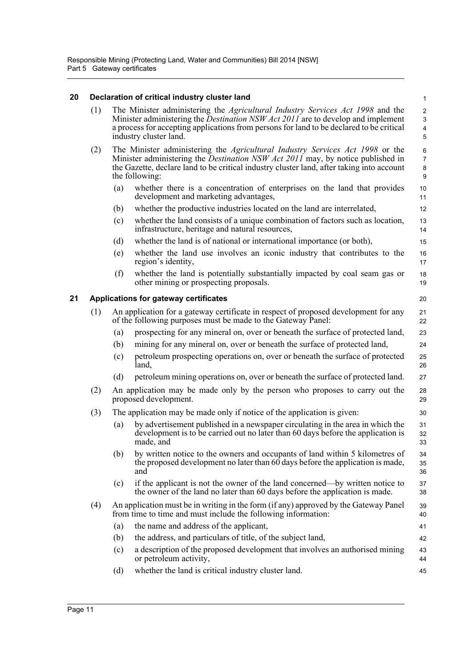### <span id="page-19-0"></span>**20 Declaration of critical industry cluster land**

<span id="page-19-1"></span>

| 20 |     |     | Declaration of critical industry cluster land                                                                                                                                                                                                                                                          | $\mathbf{1}$                                                                  |
|----|-----|-----|--------------------------------------------------------------------------------------------------------------------------------------------------------------------------------------------------------------------------------------------------------------------------------------------------------|-------------------------------------------------------------------------------|
|    | (1) |     | The Minister administering the <i>Agricultural Industry Services Act 1998</i> and the<br>Minister administering the <i>Destination NSW Act 2011</i> are to develop and implement<br>a process for accepting applications from persons for land to be declared to be critical<br>industry cluster land. | $\boldsymbol{2}$<br>$\ensuremath{\mathsf{3}}$<br>$\overline{\mathbf{4}}$<br>5 |
|    | (2) |     | The Minister administering the <i>Agricultural Industry Services Act 1998</i> or the<br>Minister administering the <i>Destination NSW Act 2011</i> may, by notice published in<br>the Gazette, declare land to be critical industry cluster land, after taking into account<br>the following:          | 6<br>$\overline{7}$<br>8<br>9                                                 |
|    |     | (a) | whether there is a concentration of enterprises on the land that provides<br>development and marketing advantages,                                                                                                                                                                                     | 10<br>11                                                                      |
|    |     | (b) | whether the productive industries located on the land are interrelated,                                                                                                                                                                                                                                | 12                                                                            |
|    |     | (c) | whether the land consists of a unique combination of factors such as location,<br>infrastructure, heritage and natural resources,                                                                                                                                                                      | 13<br>14                                                                      |
|    |     | (d) | whether the land is of national or international importance (or both),                                                                                                                                                                                                                                 | 15                                                                            |
|    |     | (e) | whether the land use involves an iconic industry that contributes to the<br>region's identity,                                                                                                                                                                                                         | 16<br>17                                                                      |
|    |     | (f) | whether the land is potentially substantially impacted by coal seam gas or<br>other mining or prospecting proposals.                                                                                                                                                                                   | 18<br>19                                                                      |
| 21 |     |     | Applications for gateway certificates                                                                                                                                                                                                                                                                  | 20                                                                            |
|    | (1) |     | An application for a gateway certificate in respect of proposed development for any<br>of the following purposes must be made to the Gateway Panel:                                                                                                                                                    | 21<br>22                                                                      |
|    |     | (a) | prospecting for any mineral on, over or beneath the surface of protected land,                                                                                                                                                                                                                         | 23                                                                            |
|    |     | (b) | mining for any mineral on, over or beneath the surface of protected land,                                                                                                                                                                                                                              | 24                                                                            |
|    |     | (c) | petroleum prospecting operations on, over or beneath the surface of protected<br>land.                                                                                                                                                                                                                 | 25<br>26                                                                      |
|    |     | (d) | petroleum mining operations on, over or beneath the surface of protected land.                                                                                                                                                                                                                         | 27                                                                            |
|    | (2) |     | An application may be made only by the person who proposes to carry out the<br>proposed development.                                                                                                                                                                                                   | 28<br>29                                                                      |
|    | (3) |     | The application may be made only if notice of the application is given:                                                                                                                                                                                                                                | 30                                                                            |
|    |     | (a) | by advertisement published in a newspaper circulating in the area in which the<br>development is to be carried out no later than 60 days before the application is<br>made, and                                                                                                                        | 31<br>32<br>33                                                                |
|    |     | (b) | by written notice to the owners and occupants of land within 5 kilometres of<br>the proposed development no later than 60 days before the application is made,<br>and                                                                                                                                  | 34<br>35<br>36                                                                |
|    |     | (c) | if the applicant is not the owner of the land concerned—by written notice to<br>the owner of the land no later than 60 days before the application is made.                                                                                                                                            | 37<br>38                                                                      |
|    | (4) |     | An application must be in writing in the form (if any) approved by the Gateway Panel<br>from time to time and must include the following information:                                                                                                                                                  | 39<br>40                                                                      |
|    |     | (a) | the name and address of the applicant,                                                                                                                                                                                                                                                                 | 41                                                                            |
|    |     | (b) | the address, and particulars of title, of the subject land,                                                                                                                                                                                                                                            | 42                                                                            |
|    |     | (c) | a description of the proposed development that involves an authorised mining<br>or petroleum activity,                                                                                                                                                                                                 | 43<br>44                                                                      |
|    |     | (d) | whether the land is critical industry cluster land.                                                                                                                                                                                                                                                    | 45                                                                            |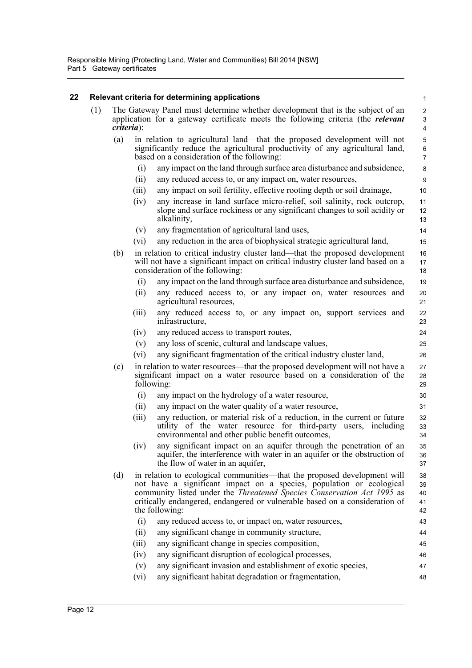## <span id="page-20-0"></span>**22 Relevant criteria for determining applications**

|     |     |                | Relevant criteria for determining applications                                                                                                                                                                                                                                                                                     | $\mathbf{1}$               |
|-----|-----|----------------|------------------------------------------------------------------------------------------------------------------------------------------------------------------------------------------------------------------------------------------------------------------------------------------------------------------------------------|----------------------------|
| (1) |     | $criterion)$ : | The Gateway Panel must determine whether development that is the subject of an<br>application for a gateway certificate meets the following criteria (the <i>relevant</i>                                                                                                                                                          | $\overline{2}$<br>3<br>4   |
|     | (a) |                | in relation to agricultural land—that the proposed development will not<br>significantly reduce the agricultural productivity of any agricultural land,<br>based on a consideration of the following:                                                                                                                              | 5<br>6<br>$\overline{7}$   |
|     |     | (i)            | any impact on the land through surface area disturbance and subsidence,                                                                                                                                                                                                                                                            | 8                          |
|     |     | (ii)           | any reduced access to, or any impact on, water resources,                                                                                                                                                                                                                                                                          | 9                          |
|     |     | (iii)          | any impact on soil fertility, effective rooting depth or soil drainage,                                                                                                                                                                                                                                                            | 10                         |
|     |     | (iv)           | any increase in land surface micro-relief, soil salinity, rock outcrop,<br>slope and surface rockiness or any significant changes to soil acidity or<br>alkalinity,                                                                                                                                                                | 11<br>12<br>13             |
|     |     | (v)            | any fragmentation of agricultural land uses,                                                                                                                                                                                                                                                                                       | 14                         |
|     |     | (vi)           | any reduction in the area of biophysical strategic agricultural land,                                                                                                                                                                                                                                                              | 15                         |
|     | (b) |                | in relation to critical industry cluster land—that the proposed development<br>will not have a significant impact on critical industry cluster land based on a<br>consideration of the following:                                                                                                                                  | 16<br>17<br>18             |
|     |     | (i)            | any impact on the land through surface area disturbance and subsidence,                                                                                                                                                                                                                                                            | 19                         |
|     |     | (ii)           | any reduced access to, or any impact on, water resources and<br>agricultural resources,                                                                                                                                                                                                                                            | 20<br>21                   |
|     |     | (iii)          | any reduced access to, or any impact on, support services and<br>infrastructure,                                                                                                                                                                                                                                                   | 22<br>23                   |
|     |     | (iv)           | any reduced access to transport routes,                                                                                                                                                                                                                                                                                            | 24                         |
|     |     | (v)            | any loss of scenic, cultural and landscape values,                                                                                                                                                                                                                                                                                 | 25                         |
|     |     | (vi)           | any significant fragmentation of the critical industry cluster land,                                                                                                                                                                                                                                                               | 26                         |
|     | (c) |                | in relation to water resources—that the proposed development will not have a<br>significant impact on a water resource based on a consideration of the<br>following:                                                                                                                                                               | 27<br>28<br>29             |
|     |     | (i)            | any impact on the hydrology of a water resource,                                                                                                                                                                                                                                                                                   | 30                         |
|     |     | (ii)           | any impact on the water quality of a water resource,                                                                                                                                                                                                                                                                               | 31                         |
|     |     | (iii)          | any reduction, or material risk of a reduction, in the current or future<br>utility of the water resource for third-party users, including<br>environmental and other public benefit outcomes,                                                                                                                                     | 32<br>33<br>34             |
|     |     | (iv)           | any significant impact on an aquifer through the penetration of an<br>aquifer, the interference with water in an aquifer or the obstruction of<br>the flow of water in an aquifer,                                                                                                                                                 | 35<br>36<br>37             |
|     | (d) |                | in relation to ecological communities—that the proposed development will<br>not have a significant impact on a species, population or ecological<br>community listed under the <i>Threatened Species Conservation Act 1995</i> as<br>critically endangered, endangered or vulnerable based on a consideration of<br>the following: | 38<br>39<br>40<br>41<br>42 |
|     |     | (i)            | any reduced access to, or impact on, water resources,                                                                                                                                                                                                                                                                              | 43                         |
|     |     | (ii)           | any significant change in community structure,                                                                                                                                                                                                                                                                                     | 44                         |
|     |     | (iii)          | any significant change in species composition,                                                                                                                                                                                                                                                                                     | 45                         |
|     |     | (iv)           | any significant disruption of ecological processes,                                                                                                                                                                                                                                                                                | 46                         |
|     |     | (v)            | any significant invasion and establishment of exotic species,                                                                                                                                                                                                                                                                      | 47                         |
|     |     | (vi)           | any significant habitat degradation or fragmentation,                                                                                                                                                                                                                                                                              | 48                         |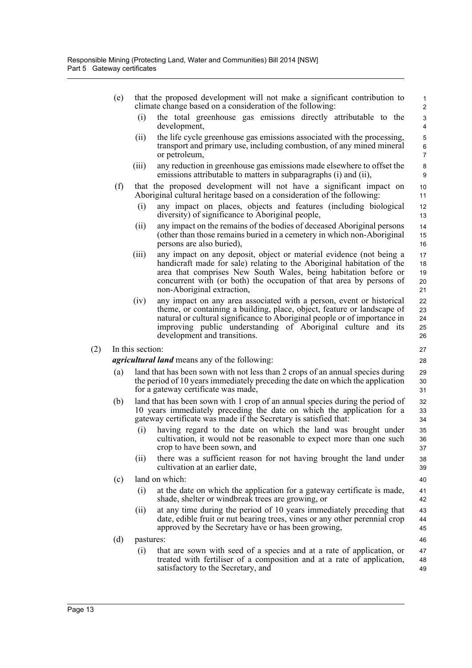(e) that the proposed development will not make a significant contribution to climate change based on a consideration of the following: the total greenhouse gas emissions directly attributable to the development, (ii) the life cycle greenhouse gas emissions associated with the processing, transport and primary use, including combustion, of any mined mineral or petroleum, (iii) any reduction in greenhouse gas emissions made elsewhere to offset the emissions attributable to matters in subparagraphs (i) and (ii), (f) that the proposed development will not have a significant impact on Aboriginal cultural heritage based on a consideration of the following: (i) any impact on places, objects and features (including biological diversity) of significance to Aboriginal people, (ii) any impact on the remains of the bodies of deceased Aboriginal persons (other than those remains buried in a cemetery in which non-Aboriginal persons are also buried), (iii) any impact on any deposit, object or material evidence (not being a handicraft made for sale) relating to the Aboriginal habitation of the area that comprises New South Wales, being habitation before or concurrent with (or both) the occupation of that area by persons of non-Aboriginal extraction, (iv) any impact on any area associated with a person, event or historical theme, or containing a building, place, object, feature or landscape of natural or cultural significance to Aboriginal people or of importance in improving public understanding of Aboriginal culture and its development and transitions. (2) In this section: *agricultural land* means any of the following: (a) land that has been sown with not less than 2 crops of an annual species during the period of 10 years immediately preceding the date on which the application for a gateway certificate was made, (b) land that has been sown with 1 crop of an annual species during the period of 10 years immediately preceding the date on which the application for a gateway certificate was made if the Secretary is satisfied that: (i) having regard to the date on which the land was brought under cultivation, it would not be reasonable to expect more than one such crop to have been sown, and (ii) there was a sufficient reason for not having brought the land under cultivation at an earlier date, (c) land on which: (i) at the date on which the application for a gateway certificate is made, shade, shelter or windbreak trees are growing, or (ii) at any time during the period of 10 years immediately preceding that date, edible fruit or nut bearing trees, vines or any other perennial crop approved by the Secretary have or has been growing, (d) pastures: (i) that are sown with seed of a species and at a rate of application, or treated with fertiliser of a composition and at a rate of application, satisfactory to the Secretary, and 1 2 3 4 5 6 7 8 9 10 11 12 13 14 15 16 17 18 19  $20$ 21 22 23 24 25 26 27 28 29 30 31 32 33 34 35 36 37 38 39 40 41 42 43 44 45 46 47 48 49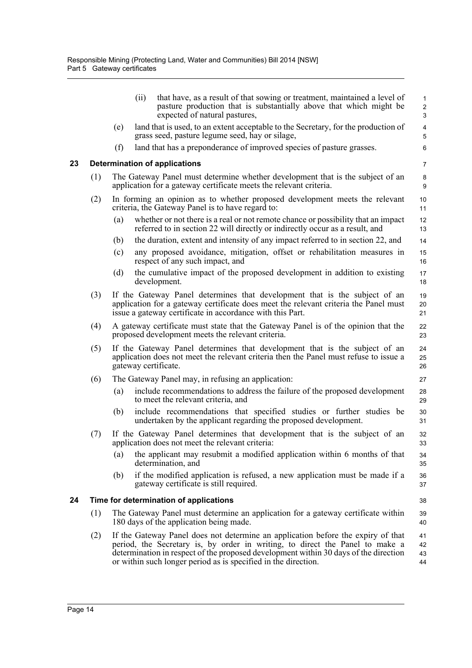<span id="page-22-1"></span><span id="page-22-0"></span>

|    |     |     | that have, as a result of that sowing or treatment, maintained a level of<br>(ii)<br>pasture production that is substantially above that which might be<br>expected of natural pastures,                                                                                                                                   | $\mathbf{1}$<br>$\overline{c}$<br>3 |
|----|-----|-----|----------------------------------------------------------------------------------------------------------------------------------------------------------------------------------------------------------------------------------------------------------------------------------------------------------------------------|-------------------------------------|
|    |     | (e) | land that is used, to an extent acceptable to the Secretary, for the production of<br>grass seed, pasture legume seed, hay or silage,                                                                                                                                                                                      | $\overline{\mathbf{4}}$<br>5        |
|    |     | (f) | land that has a preponderance of improved species of pasture grasses.                                                                                                                                                                                                                                                      | 6                                   |
| 23 |     |     | <b>Determination of applications</b>                                                                                                                                                                                                                                                                                       | $\overline{7}$                      |
|    | (1) |     | The Gateway Panel must determine whether development that is the subject of an<br>application for a gateway certificate meets the relevant criteria.                                                                                                                                                                       | 8<br>9                              |
|    | (2) |     | In forming an opinion as to whether proposed development meets the relevant<br>criteria, the Gateway Panel is to have regard to:                                                                                                                                                                                           | 10<br>11                            |
|    |     | (a) | whether or not there is a real or not remote chance or possibility that an impact<br>referred to in section 22 will directly or indirectly occur as a result, and                                                                                                                                                          | 12<br>13                            |
|    |     | (b) | the duration, extent and intensity of any impact referred to in section 22, and                                                                                                                                                                                                                                            | 14                                  |
|    |     | (c) | any proposed avoidance, mitigation, offset or rehabilitation measures in<br>respect of any such impact, and                                                                                                                                                                                                                | 15<br>16                            |
|    |     | (d) | the cumulative impact of the proposed development in addition to existing<br>development.                                                                                                                                                                                                                                  | 17<br>18                            |
|    | (3) |     | If the Gateway Panel determines that development that is the subject of an<br>application for a gateway certificate does meet the relevant criteria the Panel must<br>issue a gateway certificate in accordance with this Part.                                                                                            | 19<br>20<br>21                      |
|    | (4) |     | A gateway certificate must state that the Gateway Panel is of the opinion that the<br>proposed development meets the relevant criteria.                                                                                                                                                                                    | 22<br>23                            |
|    | (5) |     | If the Gateway Panel determines that development that is the subject of an<br>application does not meet the relevant criteria then the Panel must refuse to issue a<br>gateway certificate.                                                                                                                                | 24<br>25<br>26                      |
|    | (6) |     | The Gateway Panel may, in refusing an application:                                                                                                                                                                                                                                                                         | 27                                  |
|    |     | (a) | include recommendations to address the failure of the proposed development<br>to meet the relevant criteria, and                                                                                                                                                                                                           | 28<br>29                            |
|    |     | (b) | include recommendations that specified studies or further studies be<br>undertaken by the applicant regarding the proposed development.                                                                                                                                                                                    | 30<br>31                            |
|    | (7) |     | If the Gateway Panel determines that development that is the subject of an<br>application does not meet the relevant criteria:                                                                                                                                                                                             | 32<br>33                            |
|    |     | (a) | the applicant may resubmit a modified application within 6 months of that<br>determination, and                                                                                                                                                                                                                            | 34<br>35                            |
|    |     | (b) | if the modified application is refused, a new application must be made if a<br>gateway certificate is still required.                                                                                                                                                                                                      | 36<br>37                            |
| 24 |     |     | Time for determination of applications                                                                                                                                                                                                                                                                                     | 38                                  |
|    | (1) |     | The Gateway Panel must determine an application for a gateway certificate within<br>180 days of the application being made.                                                                                                                                                                                                | 39<br>40                            |
|    | (2) |     | If the Gateway Panel does not determine an application before the expiry of that<br>period, the Secretary is, by order in writing, to direct the Panel to make a<br>determination in respect of the proposed development within 30 days of the direction<br>or within such longer period as is specified in the direction. | 41<br>42<br>43<br>44                |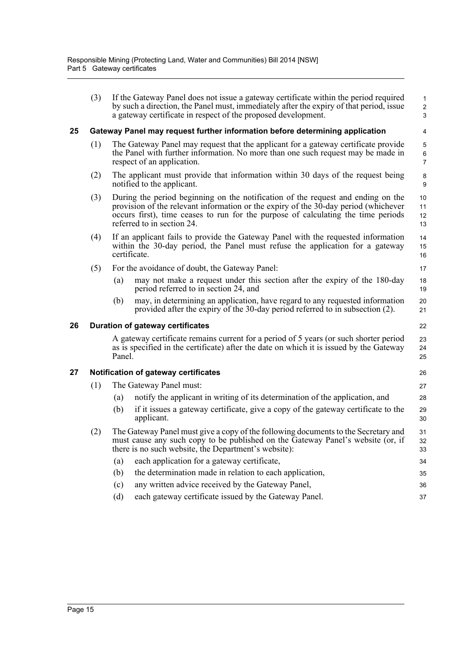<span id="page-23-2"></span><span id="page-23-1"></span><span id="page-23-0"></span>

|    | (3) |                                                                                                                                                                                            | If the Gateway Panel does not issue a gateway certificate within the period required<br>by such a direction, the Panel must, immediately after the expiry of that period, issue<br>a gateway certificate in respect of the proposed development.                                           | 1<br>$\overline{\mathbf{c}}$<br>3 |  |  |  |  |
|----|-----|--------------------------------------------------------------------------------------------------------------------------------------------------------------------------------------------|--------------------------------------------------------------------------------------------------------------------------------------------------------------------------------------------------------------------------------------------------------------------------------------------|-----------------------------------|--|--|--|--|
| 25 |     | Gateway Panel may request further information before determining application                                                                                                               |                                                                                                                                                                                                                                                                                            |                                   |  |  |  |  |
|    | (1) |                                                                                                                                                                                            | The Gateway Panel may request that the applicant for a gateway certificate provide<br>the Panel with further information. No more than one such request may be made in<br>respect of an application.                                                                                       | 5<br>6<br>7                       |  |  |  |  |
|    | (2) |                                                                                                                                                                                            | The applicant must provide that information within 30 days of the request being<br>notified to the applicant.                                                                                                                                                                              | 8<br>9                            |  |  |  |  |
|    | (3) |                                                                                                                                                                                            | During the period beginning on the notification of the request and ending on the<br>provision of the relevant information or the expiry of the 30-day period (whichever<br>occurs first), time ceases to run for the purpose of calculating the time periods<br>referred to in section 24. | 10<br>11<br>12<br>13              |  |  |  |  |
|    | (4) |                                                                                                                                                                                            | If an applicant fails to provide the Gateway Panel with the requested information<br>within the 30-day period, the Panel must refuse the application for a gateway<br>certificate.                                                                                                         | 14<br>15<br>16                    |  |  |  |  |
|    | (5) |                                                                                                                                                                                            | For the avoidance of doubt, the Gateway Panel:                                                                                                                                                                                                                                             | 17                                |  |  |  |  |
|    |     | (a)                                                                                                                                                                                        | may not make a request under this section after the expiry of the 180-day<br>period referred to in section 24, and                                                                                                                                                                         | 18<br>19                          |  |  |  |  |
|    |     | (b)                                                                                                                                                                                        | may, in determining an application, have regard to any requested information<br>provided after the expiry of the 30-day period referred to in subsection (2).                                                                                                                              | 20<br>21                          |  |  |  |  |
| 26 |     |                                                                                                                                                                                            | <b>Duration of gateway certificates</b>                                                                                                                                                                                                                                                    | 22                                |  |  |  |  |
|    |     | A gateway certificate remains current for a period of 5 years (or such shorter period<br>as is specified in the certificate) after the date on which it is issued by the Gateway<br>Panel. |                                                                                                                                                                                                                                                                                            |                                   |  |  |  |  |
| 27 |     |                                                                                                                                                                                            | Notification of gateway certificates                                                                                                                                                                                                                                                       | 26                                |  |  |  |  |
|    | (1) |                                                                                                                                                                                            | The Gateway Panel must:                                                                                                                                                                                                                                                                    | 27                                |  |  |  |  |
|    |     | (a)                                                                                                                                                                                        | notify the applicant in writing of its determination of the application, and                                                                                                                                                                                                               | 28                                |  |  |  |  |
|    |     | (b)                                                                                                                                                                                        | if it issues a gateway certificate, give a copy of the gateway certificate to the<br>applicant.                                                                                                                                                                                            | 29<br>30                          |  |  |  |  |
|    | (2) |                                                                                                                                                                                            | The Gateway Panel must give a copy of the following documents to the Secretary and<br>must cause any such copy to be published on the Gateway Panel's website (or, if<br>there is no such website, the Department's website):                                                              | 31<br>32<br>33                    |  |  |  |  |
|    |     | (a)                                                                                                                                                                                        | each application for a gateway certificate,                                                                                                                                                                                                                                                | 34                                |  |  |  |  |
|    |     | (b)                                                                                                                                                                                        | the determination made in relation to each application,                                                                                                                                                                                                                                    | 35                                |  |  |  |  |
|    |     | (c)                                                                                                                                                                                        | any written advice received by the Gateway Panel,                                                                                                                                                                                                                                          | 36                                |  |  |  |  |
|    |     | (d)                                                                                                                                                                                        | each gateway certificate issued by the Gateway Panel.                                                                                                                                                                                                                                      | 37                                |  |  |  |  |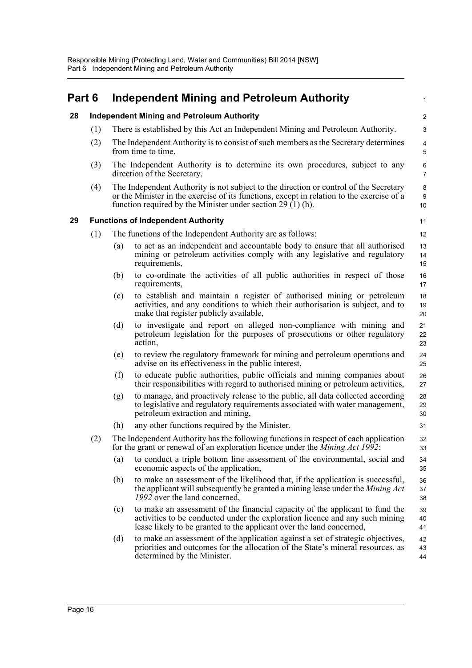<span id="page-24-2"></span><span id="page-24-1"></span><span id="page-24-0"></span>

| Part 6 |     |                                                                                                                                                                                                                                                    | <b>Independent Mining and Petroleum Authority</b>                                                                                                                                                                                    | 1                   |  |  |  |  |
|--------|-----|----------------------------------------------------------------------------------------------------------------------------------------------------------------------------------------------------------------------------------------------------|--------------------------------------------------------------------------------------------------------------------------------------------------------------------------------------------------------------------------------------|---------------------|--|--|--|--|
| 28     |     |                                                                                                                                                                                                                                                    | <b>Independent Mining and Petroleum Authority</b>                                                                                                                                                                                    | $\overline{c}$      |  |  |  |  |
|        | (1) |                                                                                                                                                                                                                                                    | There is established by this Act an Independent Mining and Petroleum Authority.                                                                                                                                                      | 3                   |  |  |  |  |
|        | (2) |                                                                                                                                                                                                                                                    | The Independent Authority is to consist of such members as the Secretary determines<br>from time to time.                                                                                                                            | $\overline{4}$<br>5 |  |  |  |  |
|        | (3) |                                                                                                                                                                                                                                                    | The Independent Authority is to determine its own procedures, subject to any<br>direction of the Secretary.                                                                                                                          | 6<br>$\overline{7}$ |  |  |  |  |
|        | (4) | The Independent Authority is not subject to the direction or control of the Secretary<br>or the Minister in the exercise of its functions, except in relation to the exercise of a<br>function required by the Minister under section $29(1)$ (h). |                                                                                                                                                                                                                                      |                     |  |  |  |  |
| 29     |     |                                                                                                                                                                                                                                                    | <b>Functions of Independent Authority</b>                                                                                                                                                                                            | 11                  |  |  |  |  |
|        | (1) |                                                                                                                                                                                                                                                    | The functions of the Independent Authority are as follows:                                                                                                                                                                           | 12                  |  |  |  |  |
|        |     | (a)                                                                                                                                                                                                                                                | to act as an independent and accountable body to ensure that all authorised<br>mining or petroleum activities comply with any legislative and regulatory<br>requirements,                                                            | 13<br>14<br>15      |  |  |  |  |
|        |     | (b)                                                                                                                                                                                                                                                | to co-ordinate the activities of all public authorities in respect of those<br>requirements,                                                                                                                                         | 16<br>17            |  |  |  |  |
|        |     | (c)                                                                                                                                                                                                                                                | to establish and maintain a register of authorised mining or petroleum<br>activities, and any conditions to which their authorisation is subject, and to<br>make that register publicly available,                                   | 18<br>19<br>20      |  |  |  |  |
|        |     | (d)                                                                                                                                                                                                                                                | to investigate and report on alleged non-compliance with mining and<br>petroleum legislation for the purposes of prosecutions or other regulatory<br>action,                                                                         | 21<br>22<br>23      |  |  |  |  |
|        |     | (e)                                                                                                                                                                                                                                                | to review the regulatory framework for mining and petroleum operations and<br>advise on its effectiveness in the public interest,                                                                                                    | 24<br>25            |  |  |  |  |
|        |     | (f)                                                                                                                                                                                                                                                | to educate public authorities, public officials and mining companies about<br>their responsibilities with regard to authorised mining or petroleum activities,                                                                       | 26<br>27            |  |  |  |  |
|        |     | (g)                                                                                                                                                                                                                                                | to manage, and proactively release to the public, all data collected according<br>to legislative and regulatory requirements associated with water management,<br>petroleum extraction and mining,                                   | 28<br>29<br>30      |  |  |  |  |
|        |     | (h)                                                                                                                                                                                                                                                | any other functions required by the Minister.                                                                                                                                                                                        | 31                  |  |  |  |  |
|        | (2) |                                                                                                                                                                                                                                                    | The Independent Authority has the following functions in respect of each application<br>for the grant or renewal of an exploration licence under the Mining Act 1992:                                                                | 32<br>33            |  |  |  |  |
|        |     | (a)                                                                                                                                                                                                                                                | to conduct a triple bottom line assessment of the environmental, social and<br>economic aspects of the application,                                                                                                                  | 34<br>35            |  |  |  |  |
|        |     | (b)                                                                                                                                                                                                                                                | to make an assessment of the likelihood that, if the application is successful,<br>the applicant will subsequently be granted a mining lease under the Mining Act<br>1992 over the land concerned,                                   | 36<br>37<br>38      |  |  |  |  |
|        |     | (c)                                                                                                                                                                                                                                                | to make an assessment of the financial capacity of the applicant to fund the<br>activities to be conducted under the exploration licence and any such mining<br>lease likely to be granted to the applicant over the land concerned, | 39<br>40<br>41      |  |  |  |  |
|        |     | (d)                                                                                                                                                                                                                                                | to make an assessment of the application against a set of strategic objectives,<br>priorities and outcomes for the allocation of the State's mineral resources, as<br>determined by the Minister.                                    | 42<br>43<br>44      |  |  |  |  |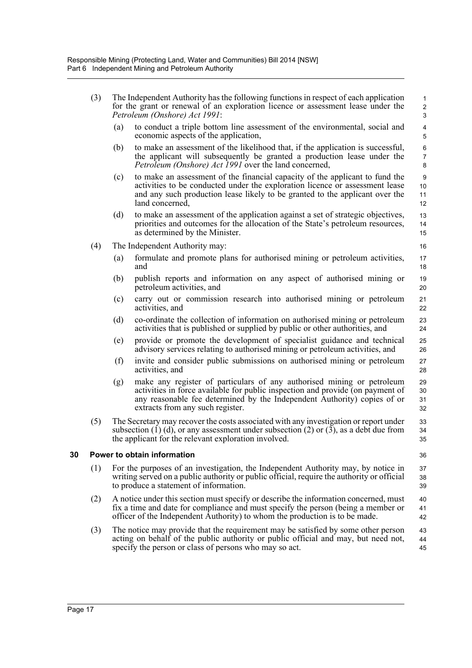<span id="page-25-0"></span>

|    | (3) | The Independent Authority has the following functions in respect of each application<br>for the grant or renewal of an exploration licence or assessment lease under the<br>Petroleum (Onshore) Act 1991:                 |                                                                                                                                                                                                                                                                          |                                    |  |  |  |  |
|----|-----|---------------------------------------------------------------------------------------------------------------------------------------------------------------------------------------------------------------------------|--------------------------------------------------------------------------------------------------------------------------------------------------------------------------------------------------------------------------------------------------------------------------|------------------------------------|--|--|--|--|
|    |     | (a)                                                                                                                                                                                                                       | to conduct a triple bottom line assessment of the environmental, social and<br>economic aspects of the application,                                                                                                                                                      | 4<br>5                             |  |  |  |  |
|    |     | (b)                                                                                                                                                                                                                       | to make an assessment of the likelihood that, if the application is successful,<br>the applicant will subsequently be granted a production lease under the<br><i>Petroleum (Onshore) Act 1991</i> over the land concerned,                                               | 6<br>$\overline{7}$<br>8           |  |  |  |  |
|    |     | (c)                                                                                                                                                                                                                       | to make an assessment of the financial capacity of the applicant to fund the<br>activities to be conducted under the exploration licence or assessment lease<br>and any such production lease likely to be granted to the applicant over the<br>land concerned,          | $\boldsymbol{9}$<br>10<br>11<br>12 |  |  |  |  |
|    |     | (d)                                                                                                                                                                                                                       | to make an assessment of the application against a set of strategic objectives,<br>priorities and outcomes for the allocation of the State's petroleum resources,<br>as determined by the Minister.                                                                      | 13<br>14<br>15                     |  |  |  |  |
|    | (4) |                                                                                                                                                                                                                           | The Independent Authority may:                                                                                                                                                                                                                                           | 16                                 |  |  |  |  |
|    |     | (a)                                                                                                                                                                                                                       | formulate and promote plans for authorised mining or petroleum activities,<br>and                                                                                                                                                                                        | 17<br>18                           |  |  |  |  |
|    |     | (b)                                                                                                                                                                                                                       | publish reports and information on any aspect of authorised mining or<br>petroleum activities, and                                                                                                                                                                       | 19<br>20                           |  |  |  |  |
|    |     | (c)                                                                                                                                                                                                                       | carry out or commission research into authorised mining or petroleum<br>activities, and                                                                                                                                                                                  | 21<br>22                           |  |  |  |  |
|    |     | (d)                                                                                                                                                                                                                       | co-ordinate the collection of information on authorised mining or petroleum<br>activities that is published or supplied by public or other authorities, and                                                                                                              | 23<br>24                           |  |  |  |  |
|    |     | (e)                                                                                                                                                                                                                       | provide or promote the development of specialist guidance and technical<br>advisory services relating to authorised mining or petroleum activities, and                                                                                                                  | 25<br>26                           |  |  |  |  |
|    |     | (f)                                                                                                                                                                                                                       | invite and consider public submissions on authorised mining or petroleum<br>activities, and                                                                                                                                                                              | 27<br>28                           |  |  |  |  |
|    |     | (g)                                                                                                                                                                                                                       | make any register of particulars of any authorised mining or petroleum<br>activities in force available for public inspection and provide (on payment of<br>any reasonable fee determined by the Independent Authority) copies of or<br>extracts from any such register. | 29<br>30<br>31<br>32               |  |  |  |  |
|    | (5) |                                                                                                                                                                                                                           | The Secretary may recover the costs associated with any investigation or report under<br>subsection (1) (d), or any assessment under subsection (2) or (3), as a debt due from<br>the applicant for the relevant exploration involved.                                   | 33<br>34<br>35                     |  |  |  |  |
| 30 |     |                                                                                                                                                                                                                           | Power to obtain information                                                                                                                                                                                                                                              | 36                                 |  |  |  |  |
|    | (1) | For the purposes of an investigation, the Independent Authority may, by notice in<br>writing served on a public authority or public official, require the authority or official<br>to produce a statement of information. |                                                                                                                                                                                                                                                                          |                                    |  |  |  |  |
|    | (2) |                                                                                                                                                                                                                           | A notice under this section must specify or describe the information concerned, must<br>fix a time and date for compliance and must specify the person (being a member or<br>officer of the Independent Authority) to whom the production is to be made.                 | 40<br>41<br>42                     |  |  |  |  |
|    | (3) |                                                                                                                                                                                                                           | The notice may provide that the requirement may be satisfied by some other person<br>acting on behalf of the public authority or public official and may, but need not,<br>specify the person or class of persons who may so act.                                        | 43<br>44<br>45                     |  |  |  |  |
|    |     |                                                                                                                                                                                                                           |                                                                                                                                                                                                                                                                          |                                    |  |  |  |  |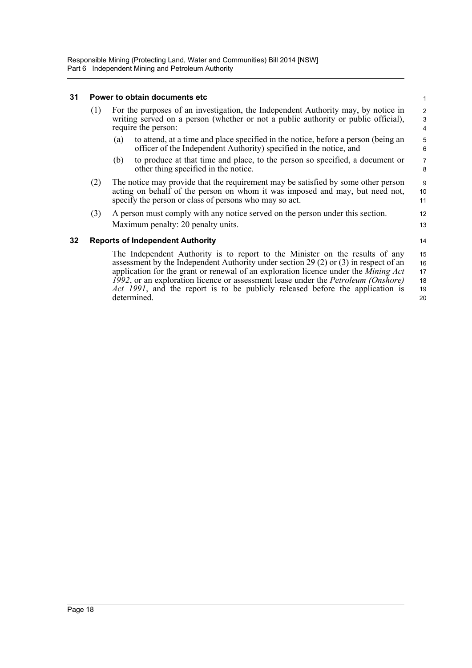### <span id="page-26-0"></span>**31 Power to obtain documents etc**

| 31  |     | Power to obtain documents etc                                                                                                                                                                                                                               | $\mathbf{1}$        |  |  |  |
|-----|-----|-------------------------------------------------------------------------------------------------------------------------------------------------------------------------------------------------------------------------------------------------------------|---------------------|--|--|--|
|     | (1) | For the purposes of an investigation, the Independent Authority may, by notice in<br>writing served on a person (whether or not a public authority or public official),<br>require the person:                                                              |                     |  |  |  |
|     |     | to attend, at a time and place specified in the notice, before a person (being an<br>(a)<br>officer of the Independent Authority) specified in the notice, and                                                                                              | 5<br>6              |  |  |  |
|     |     | to produce at that time and place, to the person so specified, a document or<br>(b)<br>other thing specified in the notice.                                                                                                                                 | $\overline{7}$<br>8 |  |  |  |
|     | (2) | The notice may provide that the requirement may be satisfied by some other person<br>acting on behalf of the person on whom it was imposed and may, but need not,<br>specify the person or class of persons who may so act.                                 | 9<br>10<br>11       |  |  |  |
|     | (3) | A person must comply with any notice served on the person under this section.<br>Maximum penalty: 20 penalty units.                                                                                                                                         | 12<br>13            |  |  |  |
| 32. |     | <b>Reports of Independent Authority</b>                                                                                                                                                                                                                     | 14                  |  |  |  |
|     |     | The Independent Authority is to report to the Minister on the results of any<br>assessment by the Independent Authority under section 29 (2) or (3) in respect of an<br>application for the grant or renewal of an exploration licence under the Mining Act | 15<br>16<br>17      |  |  |  |

<span id="page-26-1"></span>application for the grant or renewal of an exploration licence under the *Mining Act 1992*, or an exploration licence or assessment lease under the *Petroleum (Onshore) Act 1991*, and the report is to be publicly released before the application is determined.

18 19 20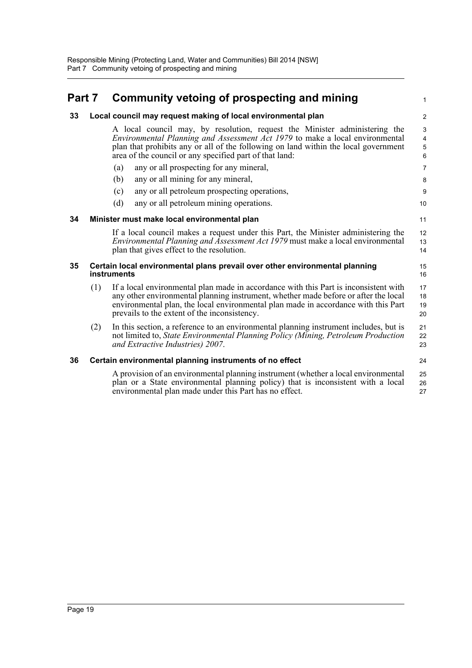#### <span id="page-27-4"></span><span id="page-27-3"></span><span id="page-27-2"></span><span id="page-27-1"></span><span id="page-27-0"></span>**Part 7 Community vetoing of prospecting and mining 33 Local council may request making of local environmental plan** A local council may, by resolution, request the Minister administering the *Environmental Planning and Assessment Act 1979* to make a local environmental plan that prohibits any or all of the following on land within the local government area of the council or any specified part of that land: (a) any or all prospecting for any mineral, (b) any or all mining for any mineral, (c) any or all petroleum prospecting operations, (d) any or all petroleum mining operations. **34 Minister must make local environmental plan** If a local council makes a request under this Part, the Minister administering the *Environmental Planning and Assessment Act 1979* must make a local environmental plan that gives effect to the resolution. **35 Certain local environmental plans prevail over other environmental planning instruments** (1) If a local environmental plan made in accordance with this Part is inconsistent with any other environmental planning instrument, whether made before or after the local environmental plan, the local environmental plan made in accordance with this Part prevails to the extent of the inconsistency. (2) In this section, a reference to an environmental planning instrument includes, but is not limited to, *State Environmental Planning Policy (Mining, Petroleum Production and Extractive Industries) 2007*. **36 Certain environmental planning instruments of no effect** A provision of an environmental planning instrument (whether a local environmental plan or a State environmental planning policy) that is inconsistent with a local environmental plan made under this Part has no effect. 1  $\overline{2}$ 3 4 5 6 7 8 **9** 10 11 12 13 14 15 16 17 18 19 20 21 22 23 24 25 26 27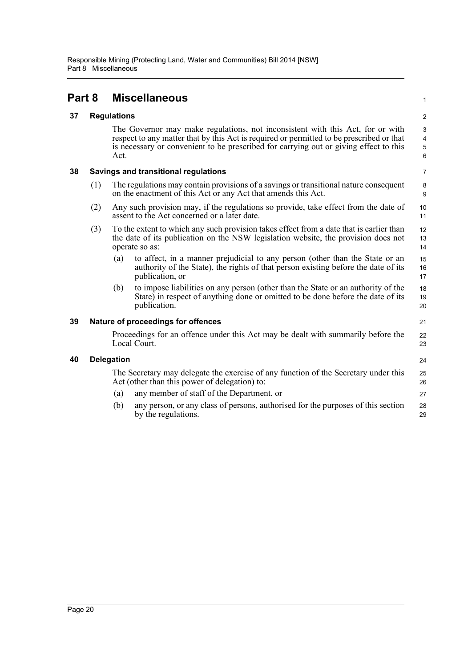## <span id="page-28-0"></span>**Part 8 Miscellaneous**

<span id="page-28-1"></span>

| 37 |  | <b>Regulations</b> |
|----|--|--------------------|
|----|--|--------------------|

The Governor may make regulations, not inconsistent with this Act, for or with respect to any matter that by this Act is required or permitted to be prescribed or that is necessary or convenient to be prescribed for carrying out or giving effect to this Act.

1

21

24

### <span id="page-28-2"></span>**38 Savings and transitional regulations**

- (1) The regulations may contain provisions of a savings or transitional nature consequent on the enactment of this Act or any Act that amends this Act.
- (2) Any such provision may, if the regulations so provide, take effect from the date of assent to the Act concerned or a later date.
- (3) To the extent to which any such provision takes effect from a date that is earlier than the date of its publication on the NSW legislation website, the provision does not operate so as:
	- (a) to affect, in a manner prejudicial to any person (other than the State or an authority of the State), the rights of that person existing before the date of its publication, or 15 16 17
	- (b) to impose liabilities on any person (other than the State or an authority of the State) in respect of anything done or omitted to be done before the date of its publication. 18 19  $20$

### <span id="page-28-3"></span>**39 Nature of proceedings for offences**

Proceedings for an offence under this Act may be dealt with summarily before the Local Court. 22 23

### <span id="page-28-4"></span>**40 Delegation**

The Secretary may delegate the exercise of any function of the Secretary under this Act (other than this power of delegation) to: (a) any member of staff of the Department, or 25 26 27

(b) any person, or any class of persons, authorised for the purposes of this section by the regulations. 28 29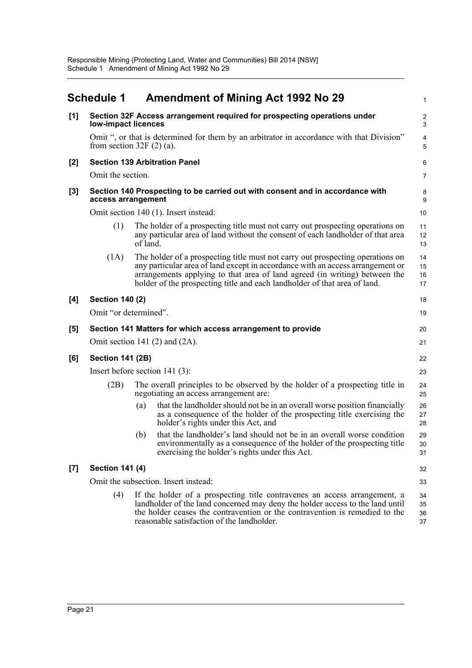<span id="page-29-0"></span>

|       | <b>Schedule 1</b>                |          | <b>Amendment of Mining Act 1992 No 29</b>                                                                                                                                                                                                                                                                                   | 1                    |  |
|-------|----------------------------------|----------|-----------------------------------------------------------------------------------------------------------------------------------------------------------------------------------------------------------------------------------------------------------------------------------------------------------------------------|----------------------|--|
| [1]   | low-impact licences              |          | Section 32F Access arrangement required for prospecting operations under                                                                                                                                                                                                                                                    | $\sqrt{2}$<br>3      |  |
|       | from section $32F(2)(a)$ .       |          | Omit ", or that is determined for them by an arbitrator in accordance with that Division"                                                                                                                                                                                                                                   | 4<br>5               |  |
| [2]   |                                  |          | <b>Section 139 Arbitration Panel</b>                                                                                                                                                                                                                                                                                        | 6                    |  |
|       | Omit the section.                |          |                                                                                                                                                                                                                                                                                                                             | 7                    |  |
| $[3]$ | access arrangement               |          | Section 140 Prospecting to be carried out with consent and in accordance with                                                                                                                                                                                                                                               | 8<br>9               |  |
|       |                                  |          | Omit section 140 (1). Insert instead:                                                                                                                                                                                                                                                                                       | 10                   |  |
|       | (1)                              | of land. | The holder of a prospecting title must not carry out prospecting operations on<br>any particular area of land without the consent of each landholder of that area                                                                                                                                                           | 11<br>12<br>13       |  |
|       | (1A)                             |          | The holder of a prospecting title must not carry out prospecting operations on<br>any particular area of land except in accordance with an access arrangement or<br>arrangements applying to that area of land agreed (in writing) between the<br>holder of the prospecting title and each landholder of that area of land. | 14<br>15<br>16<br>17 |  |
| [4]   | <b>Section 140 (2)</b>           |          |                                                                                                                                                                                                                                                                                                                             | 18                   |  |
|       | Omit "or determined".<br>19      |          |                                                                                                                                                                                                                                                                                                                             |                      |  |
| [5]   |                                  |          | Section 141 Matters for which access arrangement to provide                                                                                                                                                                                                                                                                 | 20                   |  |
|       |                                  |          | Omit section 141 $(2)$ and $(2A)$ .                                                                                                                                                                                                                                                                                         | 21                   |  |
| [6]   | <b>Section 141 (2B)</b>          |          |                                                                                                                                                                                                                                                                                                                             | 22                   |  |
|       | Insert before section $141$ (3): |          |                                                                                                                                                                                                                                                                                                                             |                      |  |
|       | (2B)                             |          | The overall principles to be observed by the holder of a prospecting title in<br>negotiating an access arrangement are:                                                                                                                                                                                                     | 24<br>25             |  |
|       |                                  | (a)      | that the landholder should not be in an overall worse position financially<br>as a consequence of the holder of the prospecting title exercising the<br>holder's rights under this Act, and                                                                                                                                 | 26<br>27<br>28       |  |
|       |                                  | (b)      | that the landholder's land should not be in an overall worse condition<br>environmentally as a consequence of the holder of the prospecting title<br>exercising the holder's rights under this Act.                                                                                                                         | 29<br>30<br>31       |  |
| $[7]$ | <b>Section 141 (4)</b>           |          |                                                                                                                                                                                                                                                                                                                             | 32                   |  |
|       |                                  |          | Omit the subsection. Insert instead:                                                                                                                                                                                                                                                                                        | 33                   |  |
|       | (4)                              |          | If the holder of a prospecting title contravenes an access arrangement, a<br>landholder of the land concerned may deny the holder access to the land until<br>the holder ceases the contravention or the contravention is remedied to the<br>reasonable satisfaction of the landholder.                                     | 34<br>35<br>36<br>37 |  |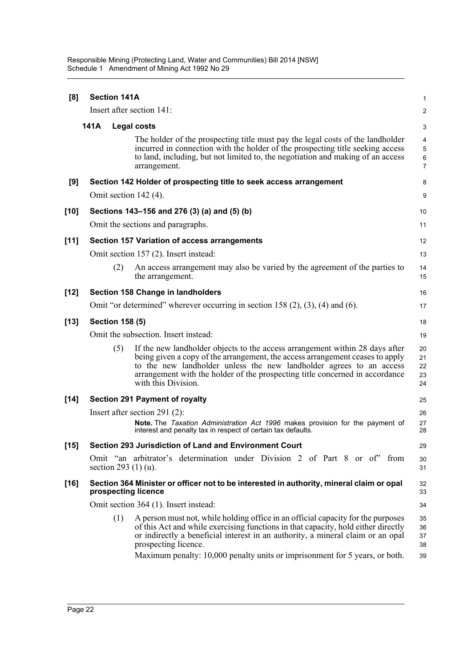Responsible Mining (Protecting Land, Water and Communities) Bill 2014 [NSW] Schedule 1 Amendment of Mining Act 1992 No 29

| [8]    | <b>Section 141A</b>    |                                                                                                                                                                                                                                                                                                                                                                 | 1                          |
|--------|------------------------|-----------------------------------------------------------------------------------------------------------------------------------------------------------------------------------------------------------------------------------------------------------------------------------------------------------------------------------------------------------------|----------------------------|
|        |                        | Insert after section 141:                                                                                                                                                                                                                                                                                                                                       | $\overline{\mathbf{c}}$    |
|        | 141A                   | <b>Legal costs</b>                                                                                                                                                                                                                                                                                                                                              | 3                          |
|        |                        | The holder of the prospecting title must pay the legal costs of the landholder<br>incurred in connection with the holder of the prospecting title seeking access<br>to land, including, but not limited to, the negotiation and making of an access<br>arrangement.                                                                                             | 4<br>5<br>6<br>7           |
| [9]    |                        | Section 142 Holder of prospecting title to seek access arrangement                                                                                                                                                                                                                                                                                              | 8                          |
|        | Omit section 142 (4).  |                                                                                                                                                                                                                                                                                                                                                                 | 9                          |
| $[10]$ |                        | Sections 143–156 and 276 (3) (a) and (5) (b)                                                                                                                                                                                                                                                                                                                    | 10                         |
|        |                        | Omit the sections and paragraphs.                                                                                                                                                                                                                                                                                                                               | 11                         |
| $[11]$ |                        | <b>Section 157 Variation of access arrangements</b>                                                                                                                                                                                                                                                                                                             | 12                         |
|        |                        | Omit section 157 (2). Insert instead:                                                                                                                                                                                                                                                                                                                           | 13                         |
|        | (2)                    | An access arrangement may also be varied by the agreement of the parties to<br>the arrangement.                                                                                                                                                                                                                                                                 | 14<br>15                   |
| $[12]$ |                        | Section 158 Change in landholders                                                                                                                                                                                                                                                                                                                               | 16                         |
|        |                        | Omit "or determined" wherever occurring in section 158 $(2)$ , $(3)$ , $(4)$ and $(6)$ .                                                                                                                                                                                                                                                                        | 17                         |
| $[13]$ | <b>Section 158 (5)</b> |                                                                                                                                                                                                                                                                                                                                                                 | 18                         |
|        |                        | Omit the subsection. Insert instead:                                                                                                                                                                                                                                                                                                                            | 19                         |
|        | (5)                    | If the new landholder objects to the access arrangement within 28 days after<br>being given a copy of the arrangement, the access arrangement ceases to apply<br>to the new landholder unless the new landholder agrees to an access<br>arrangement with the holder of the prospecting title concerned in accordance<br>with this Division.                     | 20<br>21<br>22<br>23<br>24 |
| $[14]$ |                        | <b>Section 291 Payment of royalty</b>                                                                                                                                                                                                                                                                                                                           | 25                         |
|        |                        | Insert after section 291 $(2)$ :<br>Note. The Taxation Administration Act 1996 makes provision for the payment of<br>interest and penalty tax in respect of certain tax defaults.                                                                                                                                                                               | 26<br>27<br>28             |
| $[15]$ |                        | Section 293 Jurisdiction of Land and Environment Court                                                                                                                                                                                                                                                                                                          | 29                         |
|        | section 293 $(1)$ (u). | Omit "an arbitrator's determination under Division 2 of Part 8 or of" from                                                                                                                                                                                                                                                                                      | 30<br>31                   |
| $[16]$ | prospecting licence    | Section 364 Minister or officer not to be interested in authority, mineral claim or opal                                                                                                                                                                                                                                                                        | 32<br>33                   |
|        |                        | Omit section 364 (1). Insert instead:                                                                                                                                                                                                                                                                                                                           | 34                         |
|        | (1)                    | A person must not, while holding office in an official capacity for the purposes<br>of this Act and while exercising functions in that capacity, hold either directly<br>or indirectly a beneficial interest in an authority, a mineral claim or an opal<br>prospecting licence.<br>Maximum penalty: 10,000 penalty units or imprisonment for 5 years, or both. | 35<br>36<br>37<br>38<br>39 |
|        |                        |                                                                                                                                                                                                                                                                                                                                                                 |                            |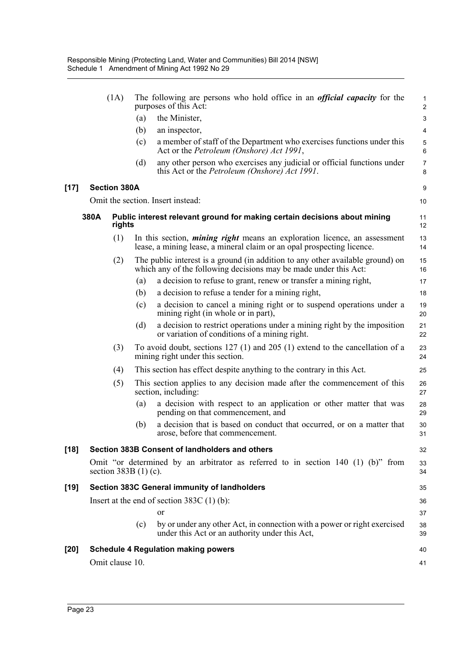|        |      | (1A)                   |     | The following are persons who hold office in an <i>official capacity</i> for the<br>purposes of this Act:                                                  | 1<br>$\overline{\mathbf{c}}$ |
|--------|------|------------------------|-----|------------------------------------------------------------------------------------------------------------------------------------------------------------|------------------------------|
|        |      |                        | (a) | the Minister,                                                                                                                                              | 3                            |
|        |      |                        | (b) | an inspector,                                                                                                                                              | 4                            |
|        |      |                        | (c) | a member of staff of the Department who exercises functions under this<br>Act or the <i>Petroleum (Onshore) Act 1991</i> ,                                 | 5<br>6                       |
|        |      |                        | (d) | any other person who exercises any judicial or official functions under<br>this Act or the <i>Petroleum (Onshore) Act 1991</i> .                           | 7<br>8                       |
| $[17]$ |      | <b>Section 380A</b>    |     |                                                                                                                                                            | 9                            |
|        |      |                        |     | Omit the section. Insert instead:                                                                                                                          | 10                           |
|        | 380A | rights                 |     | Public interest relevant ground for making certain decisions about mining                                                                                  | 11<br>12                     |
|        |      | (1)                    |     | In this section, <i>mining right</i> means an exploration licence, an assessment<br>lease, a mining lease, a mineral claim or an opal prospecting licence. | 13<br>14                     |
|        |      | (2)                    |     | The public interest is a ground (in addition to any other available ground) on<br>which any of the following decisions may be made under this Act:         | 15<br>16                     |
|        |      |                        | (a) | a decision to refuse to grant, renew or transfer a mining right,                                                                                           | 17                           |
|        |      |                        | (b) | a decision to refuse a tender for a mining right,                                                                                                          | 18                           |
|        |      |                        | (c) | a decision to cancel a mining right or to suspend operations under a<br>mining right (in whole or in part),                                                | 19<br>20                     |
|        |      |                        | (d) | a decision to restrict operations under a mining right by the imposition<br>or variation of conditions of a mining right.                                  | 21<br>22                     |
|        |      | (3)                    |     | To avoid doubt, sections $127$ (1) and $205$ (1) extend to the cancellation of a<br>mining right under this section.                                       | 23<br>24                     |
|        |      | (4)                    |     | This section has effect despite anything to the contrary in this Act.                                                                                      | 25                           |
|        |      | (5)                    |     | This section applies to any decision made after the commencement of this<br>section, including:                                                            | 26<br>27                     |
|        |      |                        | (a) | a decision with respect to an application or other matter that was<br>pending on that commencement, and                                                    | 28<br>29                     |
|        |      |                        | (b) | a decision that is based on conduct that occurred, or on a matter that<br>arose, before that commencement.                                                 | 30<br>31                     |
| [18]   |      |                        |     | Section 383B Consent of landholders and others                                                                                                             | 32                           |
|        |      | section $383B(1)$ (c). |     | Omit "or determined by an arbitrator as referred to in section $140$ (1) (b)" from                                                                         | 33<br>34                     |
| [19]   |      |                        |     | Section 383C General immunity of landholders                                                                                                               | 35                           |
|        |      |                        |     | Insert at the end of section $383C(1)$ (b):                                                                                                                | 36                           |
|        |      |                        |     | or                                                                                                                                                         | 37                           |
|        |      |                        | (c) | by or under any other Act, in connection with a power or right exercised<br>under this Act or an authority under this Act,                                 | 38<br>39                     |
| [20]   |      |                        |     | <b>Schedule 4 Regulation making powers</b>                                                                                                                 | 40                           |
|        |      | Omit clause 10.        |     |                                                                                                                                                            | 41                           |
|        |      |                        |     |                                                                                                                                                            |                              |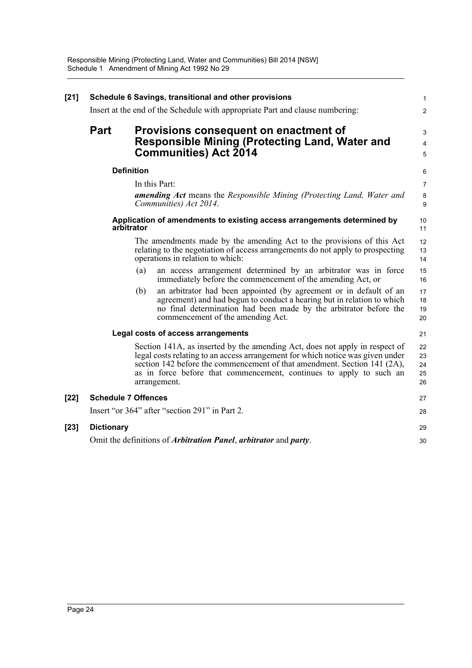| $[21]$ | Schedule 6 Savings, transitional and other provisions                                         |                                                                               |                                                                                                                                                                                                                                                                                                                                  |                            |  |  |  |
|--------|-----------------------------------------------------------------------------------------------|-------------------------------------------------------------------------------|----------------------------------------------------------------------------------------------------------------------------------------------------------------------------------------------------------------------------------------------------------------------------------------------------------------------------------|----------------------------|--|--|--|
|        |                                                                                               | Insert at the end of the Schedule with appropriate Part and clause numbering: |                                                                                                                                                                                                                                                                                                                                  |                            |  |  |  |
|        | <b>Part</b>                                                                                   |                                                                               | Provisions consequent on enactment of<br><b>Responsible Mining (Protecting Land, Water and</b>                                                                                                                                                                                                                                   | 3<br>4                     |  |  |  |
|        |                                                                                               |                                                                               | <b>Communities) Act 2014</b>                                                                                                                                                                                                                                                                                                     | 5                          |  |  |  |
|        |                                                                                               | <b>Definition</b>                                                             |                                                                                                                                                                                                                                                                                                                                  | 6                          |  |  |  |
|        |                                                                                               |                                                                               | In this Part:<br><b>amending Act</b> means the Responsible Mining (Protecting Land, Water and<br>Communities) Act 2014.                                                                                                                                                                                                          | $\overline{7}$<br>8<br>9   |  |  |  |
|        |                                                                                               | arbitrator                                                                    | Application of amendments to existing access arrangements determined by                                                                                                                                                                                                                                                          | 10<br>11                   |  |  |  |
|        |                                                                                               |                                                                               | The amendments made by the amending Act to the provisions of this Act<br>relating to the negotiation of access arrangements do not apply to prospecting<br>operations in relation to which:                                                                                                                                      | 12<br>13<br>14             |  |  |  |
|        |                                                                                               | (a)                                                                           | an access arrangement determined by an arbitrator was in force<br>immediately before the commencement of the amending Act, or                                                                                                                                                                                                    | 15<br>16                   |  |  |  |
|        |                                                                                               | (b)                                                                           | an arbitrator had been appointed (by agreement or in default of an<br>agreement) and had begun to conduct a hearing but in relation to which<br>no final determination had been made by the arbitrator before the<br>commencement of the amending Act.                                                                           | 17<br>18<br>19<br>20       |  |  |  |
|        | Legal costs of access arrangements                                                            |                                                                               |                                                                                                                                                                                                                                                                                                                                  |                            |  |  |  |
|        |                                                                                               |                                                                               | Section 141A, as inserted by the amending Act, does not apply in respect of<br>legal costs relating to an access arrangement for which notice was given under<br>section 142 before the commencement of that amendment. Section 141 (2A),<br>as in force before that commencement, continues to apply to such an<br>arrangement. | 22<br>23<br>24<br>25<br>26 |  |  |  |
| $[22]$ | <b>Schedule 7 Offences</b>                                                                    |                                                                               |                                                                                                                                                                                                                                                                                                                                  | 27                         |  |  |  |
|        |                                                                                               |                                                                               | Insert "or 364" after "section 291" in Part 2.                                                                                                                                                                                                                                                                                   | 28                         |  |  |  |
| $[23]$ | <b>Dictionary</b>                                                                             |                                                                               |                                                                                                                                                                                                                                                                                                                                  | 29                         |  |  |  |
|        | Omit the definitions of <i>Arbitration Panel</i> , <i>arbitrator</i> and <i>party</i> .<br>30 |                                                                               |                                                                                                                                                                                                                                                                                                                                  |                            |  |  |  |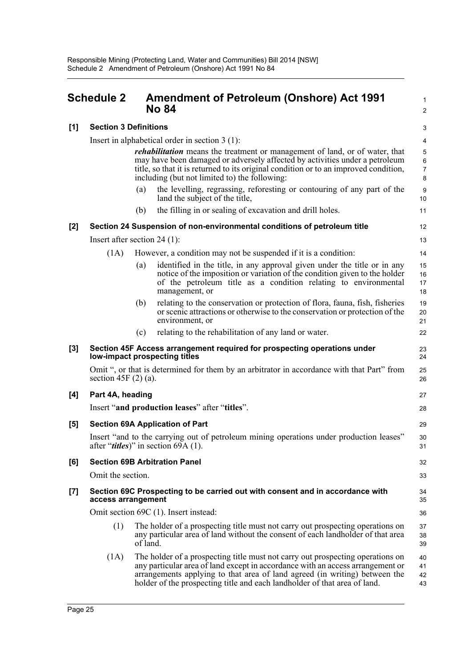<span id="page-33-0"></span>

|       | <b>Schedule 2</b>              |          | <b>Amendment of Petroleum (Onshore) Act 1991</b><br><b>No 84</b>                                                                                                                                                                                                                                                            |                                     |  |  |
|-------|--------------------------------|----------|-----------------------------------------------------------------------------------------------------------------------------------------------------------------------------------------------------------------------------------------------------------------------------------------------------------------------------|-------------------------------------|--|--|
| [1]   | <b>Section 3 Definitions</b>   |          |                                                                                                                                                                                                                                                                                                                             | 3                                   |  |  |
|       |                                |          | Insert in alphabetical order in section $3(1)$ :                                                                                                                                                                                                                                                                            | 4                                   |  |  |
|       |                                |          | <i>rehabilitation</i> means the treatment or management of land, or of water, that<br>may have been damaged or adversely affected by activities under a petroleum<br>title, so that it is returned to its original condition or to an improved condition,<br>including (but not limited to) the following:                  | 5<br>$\,6\,$<br>$\overline{7}$<br>8 |  |  |
|       |                                | (a)      | the levelling, regrassing, reforesting or contouring of any part of the<br>land the subject of the title,                                                                                                                                                                                                                   | 9<br>10                             |  |  |
|       |                                | (b)      | the filling in or sealing of excavation and drill holes.                                                                                                                                                                                                                                                                    | 11                                  |  |  |
| $[2]$ |                                |          | Section 24 Suspension of non-environmental conditions of petroleum title                                                                                                                                                                                                                                                    | 12                                  |  |  |
|       | Insert after section $24$ (1): |          |                                                                                                                                                                                                                                                                                                                             | 13                                  |  |  |
|       | (1A)                           |          | However, a condition may not be suspended if it is a condition:                                                                                                                                                                                                                                                             | 14                                  |  |  |
|       |                                | (a)      | identified in the title, in any approval given under the title or in any<br>notice of the imposition or variation of the condition given to the holder<br>of the petroleum title as a condition relating to environmental<br>management, or                                                                                 | 15<br>16<br>17<br>18                |  |  |
|       |                                | (b)      | relating to the conservation or protection of flora, fauna, fish, fisheries<br>or scenic attractions or otherwise to the conservation or protection of the<br>environment, or                                                                                                                                               | 19<br>20<br>21                      |  |  |
|       |                                | (c)      | relating to the rehabilitation of any land or water.                                                                                                                                                                                                                                                                        | 22                                  |  |  |
| $[3]$ |                                |          | Section 45F Access arrangement required for prospecting operations under<br>low-impact prospecting titles                                                                                                                                                                                                                   | 23<br>24                            |  |  |
|       | section 45F $(2)$ (a).         |          | Omit ", or that is determined for them by an arbitrator in accordance with that Part" from                                                                                                                                                                                                                                  | 25<br>26                            |  |  |
| [4]   | Part 4A, heading               |          |                                                                                                                                                                                                                                                                                                                             | 27                                  |  |  |
|       |                                |          | Insert "and production leases" after "titles".                                                                                                                                                                                                                                                                              | 28                                  |  |  |
| [5]   |                                |          | <b>Section 69A Application of Part</b>                                                                                                                                                                                                                                                                                      | 29                                  |  |  |
|       |                                |          | Insert "and to the carrying out of petroleum mining operations under production leases"<br>after " <i>titles</i> )" in section 69A $(1)$ .                                                                                                                                                                                  | 30<br>31                            |  |  |
| [6]   |                                |          | <b>Section 69B Arbitration Panel</b>                                                                                                                                                                                                                                                                                        | 32                                  |  |  |
|       | Omit the section.              |          |                                                                                                                                                                                                                                                                                                                             | 33                                  |  |  |
| $[7]$ | access arrangement             |          | Section 69C Prospecting to be carried out with consent and in accordance with                                                                                                                                                                                                                                               | 34<br>35                            |  |  |
|       |                                |          | Omit section 69C (1). Insert instead:                                                                                                                                                                                                                                                                                       | 36                                  |  |  |
|       | (1)                            | of land. | The holder of a prospecting title must not carry out prospecting operations on<br>any particular area of land without the consent of each landholder of that area                                                                                                                                                           | 37<br>38<br>39                      |  |  |
|       | (1A)                           |          | The holder of a prospecting title must not carry out prospecting operations on<br>any particular area of land except in accordance with an access arrangement or<br>arrangements applying to that area of land agreed (in writing) between the<br>holder of the prospecting title and each landholder of that area of land. | 40<br>41<br>42<br>43                |  |  |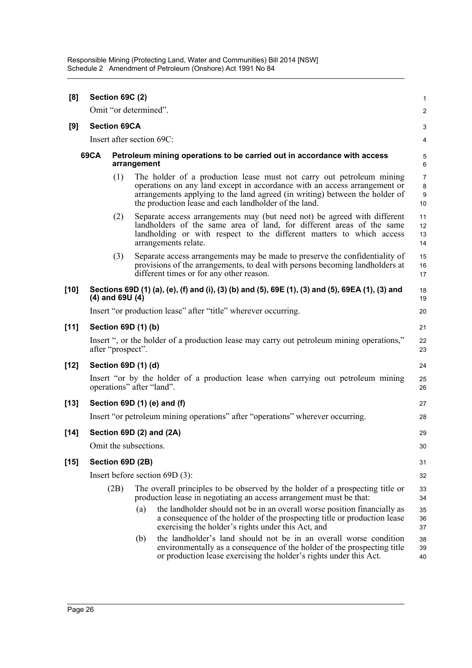| [8]                                                                                                   |                           | Section 69C (2)<br>1 |                       |                                                                                                                                                                                                                                                                                           |                         |  |  |
|-------------------------------------------------------------------------------------------------------|---------------------------|----------------------|-----------------------|-------------------------------------------------------------------------------------------------------------------------------------------------------------------------------------------------------------------------------------------------------------------------------------------|-------------------------|--|--|
|                                                                                                       |                           |                      | Omit "or determined". |                                                                                                                                                                                                                                                                                           | $\overline{\mathbf{c}}$ |  |  |
| [9]                                                                                                   | <b>Section 69CA</b>       |                      |                       |                                                                                                                                                                                                                                                                                           |                         |  |  |
|                                                                                                       | Insert after section 69C: |                      |                       |                                                                                                                                                                                                                                                                                           |                         |  |  |
| <b>69CA</b><br>Petroleum mining operations to be carried out in accordance with access<br>arrangement |                           |                      |                       |                                                                                                                                                                                                                                                                                           | 5<br>6                  |  |  |
|                                                                                                       |                           | (1)                  |                       | The holder of a production lease must not carry out petroleum mining<br>operations on any land except in accordance with an access arrangement or<br>arrangements applying to the land agreed (in writing) between the holder of<br>the production lease and each landholder of the land. | 7<br>8<br>9<br>10       |  |  |
|                                                                                                       |                           | (2)                  |                       | Separate access arrangements may (but need not) be agreed with different<br>landholders of the same area of land, for different areas of the same<br>landholding or with respect to the different matters to which access<br>arrangements relate.                                         | 11<br>12<br>13<br>14    |  |  |
|                                                                                                       |                           | (3)                  |                       | Separate access arrangements may be made to preserve the confidentiality of<br>provisions of the arrangements, to deal with persons becoming landholders at<br>different times or for any other reason.                                                                                   | 15<br>16<br>17          |  |  |
| $[10]$                                                                                                |                           | $(4)$ and 69U $(4)$  |                       | Sections 69D (1) (a), (e), (f) and (i), (3) (b) and (5), 69E (1), (3) and (5), 69EA (1), (3) and                                                                                                                                                                                          | 18<br>19                |  |  |
|                                                                                                       |                           |                      |                       | Insert "or production lease" after "title" wherever occurring.                                                                                                                                                                                                                            | 20                      |  |  |
| $[11]$                                                                                                |                           |                      | Section 69D (1) (b)   |                                                                                                                                                                                                                                                                                           | 21                      |  |  |
|                                                                                                       |                           | after "prospect".    |                       | Insert ", or the holder of a production lease may carry out petroleum mining operations,"                                                                                                                                                                                                 | 22<br>23                |  |  |
| $[12]$                                                                                                |                           |                      | Section 69D (1) (d)   |                                                                                                                                                                                                                                                                                           | 24                      |  |  |
|                                                                                                       |                           |                      |                       | Insert "or by the holder of a production lease when carrying out petroleum mining<br>operations" after "land".                                                                                                                                                                            | 25<br>26                |  |  |
| $[13]$                                                                                                |                           |                      |                       | Section 69D (1) (e) and (f)                                                                                                                                                                                                                                                               | 27                      |  |  |
|                                                                                                       |                           |                      |                       | Insert "or petroleum mining operations" after "operations" wherever occurring.                                                                                                                                                                                                            | 28                      |  |  |
| $[14]$                                                                                                |                           |                      |                       | Section 69D (2) and (2A)                                                                                                                                                                                                                                                                  | 29                      |  |  |
|                                                                                                       |                           |                      | Omit the subsections. |                                                                                                                                                                                                                                                                                           | 30                      |  |  |
| $[15]$                                                                                                |                           |                      | Section 69D (2B)      |                                                                                                                                                                                                                                                                                           | 31                      |  |  |
|                                                                                                       |                           |                      |                       | Insert before section $69D(3)$ :                                                                                                                                                                                                                                                          | 32                      |  |  |
|                                                                                                       |                           | (2B)                 |                       | The overall principles to be observed by the holder of a prospecting title or<br>production lease in negotiating an access arrangement must be that:                                                                                                                                      | 33<br>34                |  |  |
|                                                                                                       |                           |                      | (a)                   | the landholder should not be in an overall worse position financially as<br>a consequence of the holder of the prospecting title or production lease<br>exercising the holder's rights under this Act, and                                                                                | 35<br>36<br>37          |  |  |
|                                                                                                       |                           |                      | (b)                   | the landholder's land should not be in an overall worse condition<br>environmentally as a consequence of the holder of the prospecting title<br>or production lease exercising the holder's rights under this Act.                                                                        | 38<br>39<br>40          |  |  |
|                                                                                                       |                           |                      |                       |                                                                                                                                                                                                                                                                                           |                         |  |  |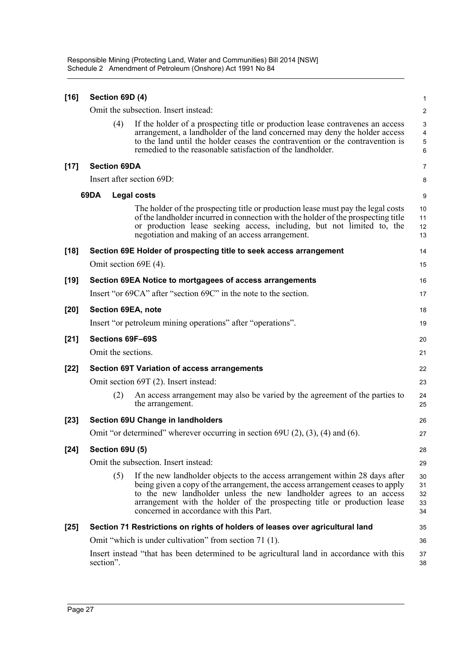Responsible Mining (Protecting Land, Water and Communities) Bill 2014 [NSW] Schedule 2 Amendment of Petroleum (Onshore) Act 1991 No 84

| $[16]$ | Section 69D (4)        |                                                                                                                                                                                                                                                                                                                                                             | 1                          |
|--------|------------------------|-------------------------------------------------------------------------------------------------------------------------------------------------------------------------------------------------------------------------------------------------------------------------------------------------------------------------------------------------------------|----------------------------|
|        |                        | Omit the subsection. Insert instead:                                                                                                                                                                                                                                                                                                                        | $\overline{c}$             |
|        | (4)                    | If the holder of a prospecting title or production lease contravenes an access<br>arrangement, a landholder of the land concerned may deny the holder access<br>to the land until the holder ceases the contravention or the contravention is<br>remedied to the reasonable satisfaction of the landholder.                                                 | 3<br>4<br>5<br>6           |
| $[17]$ | <b>Section 69DA</b>    |                                                                                                                                                                                                                                                                                                                                                             | 7                          |
|        |                        | Insert after section 69D:                                                                                                                                                                                                                                                                                                                                   | 8                          |
|        | 69DA                   | <b>Legal costs</b>                                                                                                                                                                                                                                                                                                                                          | 9                          |
|        |                        | The holder of the prospecting title or production lease must pay the legal costs<br>of the landholder incurred in connection with the holder of the prospecting title<br>or production lease seeking access, including, but not limited to, the<br>negotiation and making of an access arrangement.                                                         | 10<br>11<br>12<br>13       |
| $[18]$ |                        | Section 69E Holder of prospecting title to seek access arrangement                                                                                                                                                                                                                                                                                          | 14                         |
|        |                        | Omit section 69E (4).                                                                                                                                                                                                                                                                                                                                       | 15                         |
| $[19]$ |                        | Section 69EA Notice to mortgagees of access arrangements                                                                                                                                                                                                                                                                                                    | 16                         |
|        |                        | Insert "or 69CA" after "section 69C" in the note to the section.                                                                                                                                                                                                                                                                                            | 17                         |
| $[20]$ |                        | Section 69EA, note                                                                                                                                                                                                                                                                                                                                          | 18                         |
|        |                        | Insert "or petroleum mining operations" after "operations".                                                                                                                                                                                                                                                                                                 | 19                         |
| $[21]$ |                        | Sections 69F-69S                                                                                                                                                                                                                                                                                                                                            | 20                         |
|        |                        | Omit the sections.                                                                                                                                                                                                                                                                                                                                          | 21                         |
| $[22]$ |                        | <b>Section 69T Variation of access arrangements</b>                                                                                                                                                                                                                                                                                                         | 22                         |
|        |                        | Omit section 69T (2). Insert instead:                                                                                                                                                                                                                                                                                                                       | 23                         |
|        | (2)                    | An access arrangement may also be varied by the agreement of the parties to<br>the arrangement.                                                                                                                                                                                                                                                             | 24<br>25                   |
| $[23]$ |                        | <b>Section 69U Change in landholders</b>                                                                                                                                                                                                                                                                                                                    | 26                         |
|        |                        | Omit "or determined" wherever occurring in section $69U(2)$ , $(3)$ , $(4)$ and $(6)$ .                                                                                                                                                                                                                                                                     | 27                         |
| $[24]$ | <b>Section 69U (5)</b> |                                                                                                                                                                                                                                                                                                                                                             | 28                         |
|        |                        | Omit the subsection. Insert instead:                                                                                                                                                                                                                                                                                                                        | 29                         |
|        | (5)                    | If the new landholder objects to the access arrangement within 28 days after<br>being given a copy of the arrangement, the access arrangement ceases to apply<br>to the new landholder unless the new landholder agrees to an access<br>arrangement with the holder of the prospecting title or production lease<br>concerned in accordance with this Part. | 30<br>31<br>32<br>33<br>34 |
| $[25]$ |                        | Section 71 Restrictions on rights of holders of leases over agricultural land                                                                                                                                                                                                                                                                               | 35                         |
|        |                        | Omit "which is under cultivation" from section 71 (1).                                                                                                                                                                                                                                                                                                      | 36                         |
|        | section".              | Insert instead "that has been determined to be agricultural land in accordance with this                                                                                                                                                                                                                                                                    | 37<br>38                   |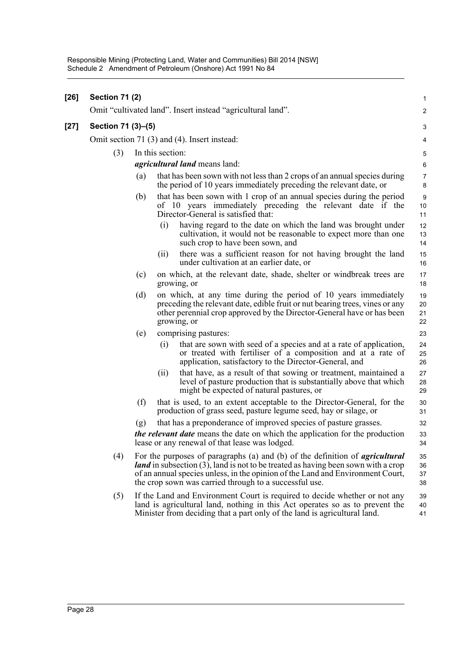| $[26]$ | <b>Section 71 (2)</b> |                    |                  |                                                                                                                                                                                                                                                                                                                                | $\mathbf{1}$         |  |  |
|--------|-----------------------|--------------------|------------------|--------------------------------------------------------------------------------------------------------------------------------------------------------------------------------------------------------------------------------------------------------------------------------------------------------------------------------|----------------------|--|--|
|        |                       |                    |                  | Omit "cultivated land". Insert instead "agricultural land".                                                                                                                                                                                                                                                                    | 2                    |  |  |
| $[27]$ |                       | Section 71 (3)-(5) |                  |                                                                                                                                                                                                                                                                                                                                |                      |  |  |
|        |                       |                    |                  | Omit section 71 (3) and (4). Insert instead:                                                                                                                                                                                                                                                                                   | 4                    |  |  |
|        | (3)                   |                    | In this section: |                                                                                                                                                                                                                                                                                                                                | 5                    |  |  |
|        |                       |                    |                  | <i>agricultural land</i> means land:                                                                                                                                                                                                                                                                                           | 6                    |  |  |
|        |                       | (a)                |                  | that has been sown with not less than 2 crops of an annual species during<br>the period of 10 years immediately preceding the relevant date, or                                                                                                                                                                                | $\overline{7}$<br>8  |  |  |
|        |                       | (b)                |                  | that has been sown with 1 crop of an annual species during the period<br>of 10 years immediately preceding the relevant date if the<br>Director-General is satisfied that:                                                                                                                                                     | 9<br>10<br>11        |  |  |
|        |                       |                    | (i)              | having regard to the date on which the land was brought under<br>cultivation, it would not be reasonable to expect more than one<br>such crop to have been sown, and                                                                                                                                                           | 12<br>13<br>14       |  |  |
|        |                       |                    | (11)             | there was a sufficient reason for not having brought the land<br>under cultivation at an earlier date, or                                                                                                                                                                                                                      | 15<br>16             |  |  |
|        |                       | (c)                |                  | on which, at the relevant date, shade, shelter or windbreak trees are<br>growing, or                                                                                                                                                                                                                                           | 17<br>18             |  |  |
|        |                       | (d)                |                  | on which, at any time during the period of 10 years immediately<br>preceding the relevant date, edible fruit or nut bearing trees, vines or any<br>other perennial crop approved by the Director-General have or has been<br>growing, or                                                                                       | 19<br>20<br>21<br>22 |  |  |
|        |                       | (e)                |                  | comprising pastures:                                                                                                                                                                                                                                                                                                           | 23                   |  |  |
|        |                       |                    | (i)              | that are sown with seed of a species and at a rate of application,<br>or treated with fertiliser of a composition and at a rate of<br>application, satisfactory to the Director-General, and                                                                                                                                   | 24<br>25<br>26       |  |  |
|        |                       |                    | (11)             | that have, as a result of that sowing or treatment, maintained a<br>level of pasture production that is substantially above that which<br>might be expected of natural pastures, or                                                                                                                                            | 27<br>28<br>29       |  |  |
|        |                       | (f)                |                  | that is used, to an extent acceptable to the Director-General, for the<br>production of grass seed, pasture legume seed, hay or silage, or                                                                                                                                                                                     | 30<br>31             |  |  |
|        |                       | (g)                |                  | that has a preponderance of improved species of pasture grasses.<br><i>the relevant date</i> means the date on which the application for the production<br>lease or any renewal of that lease was lodged.                                                                                                                      | 32<br>33<br>34       |  |  |
|        | (4)                   |                    |                  | For the purposes of paragraphs (a) and (b) of the definition of <i>agricultural</i><br><i>land</i> in subsection $(3)$ , land is not to be treated as having been sown with a crop<br>of an annual species unless, in the opinion of the Land and Environment Court,<br>the crop sown was carried through to a successful use. | 35<br>36<br>37<br>38 |  |  |
|        | (5)                   |                    |                  | If the Land and Environment Court is required to decide whether or not any<br>land is agricultural land, nothing in this Act operates so as to prevent the<br>Minister from deciding that a part only of the land is agricultural land.                                                                                        | 39<br>40<br>41       |  |  |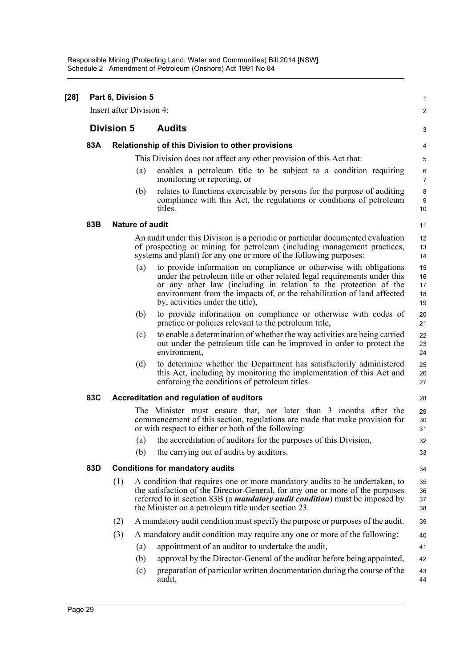| $[28]$ | Part 6, Division 5<br>Insert after Division 4: |                        |     |                                                                                                                                                                                                                                                                                                                                   |                            |  |  |
|--------|------------------------------------------------|------------------------|-----|-----------------------------------------------------------------------------------------------------------------------------------------------------------------------------------------------------------------------------------------------------------------------------------------------------------------------------------|----------------------------|--|--|
|        |                                                | <b>Division 5</b>      |     | <b>Audits</b>                                                                                                                                                                                                                                                                                                                     |                            |  |  |
|        | 83A                                            |                        |     | Relationship of this Division to other provisions                                                                                                                                                                                                                                                                                 |                            |  |  |
|        |                                                |                        |     | This Division does not affect any other provision of this Act that:                                                                                                                                                                                                                                                               | 5                          |  |  |
|        |                                                |                        | (a) | enables a petroleum title to be subject to a condition requiring<br>monitoring or reporting, or                                                                                                                                                                                                                                   | 6<br>$\overline{7}$        |  |  |
|        |                                                |                        | (b) | relates to functions exercisable by persons for the purpose of auditing<br>compliance with this Act, the regulations or conditions of petroleum<br>titles.                                                                                                                                                                        | 8<br>9<br>10               |  |  |
|        | 83B                                            | <b>Nature of audit</b> |     |                                                                                                                                                                                                                                                                                                                                   | 11                         |  |  |
|        |                                                |                        |     | An audit under this Division is a periodic or particular documented evaluation<br>of prospecting or mining for petroleum (including management practices,<br>systems and plant) for any one or more of the following purposes:                                                                                                    | 12<br>13<br>14             |  |  |
|        |                                                |                        | (a) | to provide information on compliance or otherwise with obligations<br>under the petroleum title or other related legal requirements under this<br>or any other law (including in relation to the protection of the<br>environment from the impacts of, or the rehabilitation of land affected<br>by, activities under the title), | 15<br>16<br>17<br>18<br>19 |  |  |
|        |                                                |                        | (b) | to provide information on compliance or otherwise with codes of<br>practice or policies relevant to the petroleum title,                                                                                                                                                                                                          | 20<br>21                   |  |  |
|        |                                                |                        | (c) | to enable a determination of whether the way activities are being carried<br>out under the petroleum title can be improved in order to protect the<br>environment,                                                                                                                                                                | 22<br>23<br>24             |  |  |
|        |                                                |                        | (d) | to determine whether the Department has satisfactorily administered<br>this Act, including by monitoring the implementation of this Act and<br>enforcing the conditions of petroleum titles.                                                                                                                                      | 25<br>26<br>27             |  |  |
|        | 83C                                            |                        |     | Accreditation and regulation of auditors                                                                                                                                                                                                                                                                                          | 28                         |  |  |
|        |                                                |                        |     | The Minister must ensure that, not later than 3 months after the<br>commencement of this section, regulations are made that make provision for<br>or with respect to either or both of the following:                                                                                                                             | 29<br>30<br>31             |  |  |
|        |                                                |                        | (a) | the accreditation of auditors for the purposes of this Division,                                                                                                                                                                                                                                                                  | 32                         |  |  |
|        |                                                |                        | (b) | the carrying out of audits by auditors.                                                                                                                                                                                                                                                                                           | 33                         |  |  |
|        | 83D                                            |                        |     | <b>Conditions for mandatory audits</b>                                                                                                                                                                                                                                                                                            | 34                         |  |  |
|        |                                                | (1)                    |     | A condition that requires one or more mandatory audits to be undertaken, to<br>the satisfaction of the Director-General, for any one or more of the purposes<br>referred to in section 83B (a <i>mandatory audit condition</i> ) must be imposed by<br>the Minister on a petroleum title under section 23.                        | 35<br>36<br>37<br>38       |  |  |
|        |                                                | (2)                    |     | A mandatory audit condition must specify the purpose or purposes of the audit.                                                                                                                                                                                                                                                    | 39                         |  |  |
|        |                                                | (3)                    |     | A mandatory audit condition may require any one or more of the following:                                                                                                                                                                                                                                                         | 40                         |  |  |
|        |                                                |                        | (a) | appointment of an auditor to undertake the audit,                                                                                                                                                                                                                                                                                 | 41                         |  |  |
|        |                                                |                        | (b) | approval by the Director-General of the auditor before being appointed,                                                                                                                                                                                                                                                           | 42                         |  |  |
|        |                                                |                        | (c) | preparation of particular written documentation during the course of the<br>audit,                                                                                                                                                                                                                                                | 43<br>44                   |  |  |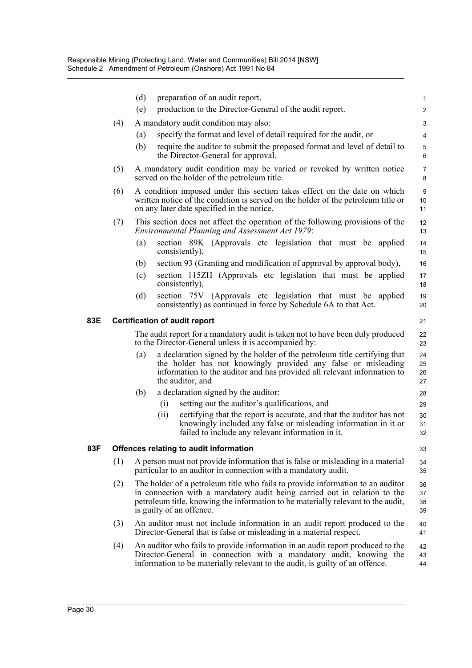|     |     | (d)<br>(e) | preparation of an audit report,<br>production to the Director-General of the audit report.                                                                                                                                                                                  | $\mathbf{1}$<br>$\overline{2}$ |
|-----|-----|------------|-----------------------------------------------------------------------------------------------------------------------------------------------------------------------------------------------------------------------------------------------------------------------------|--------------------------------|
|     | (4) |            | A mandatory audit condition may also:                                                                                                                                                                                                                                       |                                |
|     |     | (a)        | specify the format and level of detail required for the audit, or                                                                                                                                                                                                           | 3<br>$\overline{4}$            |
|     |     | (b)        | require the auditor to submit the proposed format and level of detail to                                                                                                                                                                                                    | 5                              |
|     |     |            | the Director-General for approval.                                                                                                                                                                                                                                          | 6                              |
|     | (5) |            | A mandatory audit condition may be varied or revoked by written notice<br>served on the holder of the petroleum title.                                                                                                                                                      | $\overline{7}$<br>8            |
|     | (6) |            | A condition imposed under this section takes effect on the date on which<br>written notice of the condition is served on the holder of the petroleum title or<br>on any later date specified in the notice.                                                                 | 9<br>10 <sup>10</sup><br>11    |
|     | (7) |            | This section does not affect the operation of the following provisions of the<br><b>Environmental Planning and Assessment Act 1979:</b>                                                                                                                                     | 12<br>13                       |
|     |     | (a)        | section 89K (Approvals etc legislation that must be applied<br>consistently),                                                                                                                                                                                               | 14<br>15                       |
|     |     | (b)        | section 93 (Granting and modification of approval by approval body),                                                                                                                                                                                                        | 16                             |
|     |     | (c)        | section 115ZH (Approvals etc legislation that must be applied<br>consistently),                                                                                                                                                                                             | 17<br>18                       |
|     |     | (d)        | section 75V (Approvals etc legislation that must be applied<br>consistently) as continued in force by Schedule 6A to that Act.                                                                                                                                              | 19<br>20                       |
| 83E |     |            | <b>Certification of audit report</b>                                                                                                                                                                                                                                        | 21                             |
|     |     |            | The audit report for a mandatory audit is taken not to have been duly produced<br>to the Director-General unless it is accompanied by:                                                                                                                                      | 22<br>23                       |
|     |     | (a)        | a declaration signed by the holder of the petroleum title certifying that<br>the holder has not knowingly provided any false or misleading<br>information to the auditor and has provided all relevant information to<br>the auditor, and                                   | 24<br>25<br>26<br>27           |
|     |     | (b)        | a declaration signed by the auditor:                                                                                                                                                                                                                                        | 28                             |
|     |     |            | setting out the auditor's qualifications, and<br>(i)                                                                                                                                                                                                                        | 29                             |
|     |     |            | certifying that the report is accurate, and that the auditor has not<br>(ii)<br>knowingly included any false or misleading information in it or<br>failed to include any relevant information in it.                                                                        | 30<br>31<br>32                 |
| 83F |     |            | Offences relating to audit information                                                                                                                                                                                                                                      | 33                             |
|     | (1) |            | A person must not provide information that is false or misleading in a material<br>particular to an auditor in connection with a mandatory audit.                                                                                                                           | 34<br>35                       |
|     | (2) |            | The holder of a petroleum title who fails to provide information to an auditor<br>in connection with a mandatory audit being carried out in relation to the<br>petroleum title, knowing the information to be materially relevant to the audit,<br>is guilty of an offence. | 36<br>37<br>38<br>39           |
|     | (3) |            | An auditor must not include information in an audit report produced to the<br>Director-General that is false or misleading in a material respect.                                                                                                                           | 40<br>41                       |
|     | (4) |            | An auditor who fails to provide information in an audit report produced to the<br>Director-General in connection with a mandatory audit, knowing the<br>information to be materially relevant to the audit, is guilty of an offence.                                        | 42<br>43<br>44                 |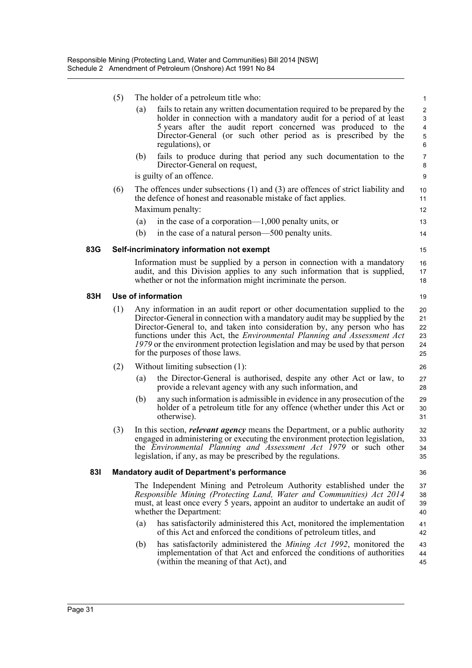|     | (5) |     | The holder of a petroleum title who:                                                                                                                                                                                                                                                                                                                                                                                                        | $\mathbf{1}$                                              |
|-----|-----|-----|---------------------------------------------------------------------------------------------------------------------------------------------------------------------------------------------------------------------------------------------------------------------------------------------------------------------------------------------------------------------------------------------------------------------------------------------|-----------------------------------------------------------|
|     |     | (a) | fails to retain any written documentation required to be prepared by the<br>holder in connection with a mandatory audit for a period of at least<br>5 years after the audit report concerned was produced to the<br>Director-General (or such other period as is prescribed by the<br>regulations), or                                                                                                                                      | $\overline{2}$<br>3<br>$\overline{4}$<br>$\,$ 5 $\,$<br>6 |
|     |     | (b) | fails to produce during that period any such documentation to the<br>Director-General on request,<br>is guilty of an offence.                                                                                                                                                                                                                                                                                                               | $\overline{7}$<br>8<br>$\boldsymbol{9}$                   |
|     | (6) |     | The offences under subsections $(1)$ and $(3)$ are offences of strict liability and<br>the defence of honest and reasonable mistake of fact applies.                                                                                                                                                                                                                                                                                        | 10<br>11                                                  |
|     |     |     | Maximum penalty:                                                                                                                                                                                                                                                                                                                                                                                                                            | 12                                                        |
|     |     | (a) | in the case of a corporation— $1,000$ penalty units, or                                                                                                                                                                                                                                                                                                                                                                                     | 13                                                        |
|     |     | (b) | in the case of a natural person—500 penalty units.                                                                                                                                                                                                                                                                                                                                                                                          | 14                                                        |
| 83G |     |     | Self-incriminatory information not exempt                                                                                                                                                                                                                                                                                                                                                                                                   | 15                                                        |
|     |     |     | Information must be supplied by a person in connection with a mandatory<br>audit, and this Division applies to any such information that is supplied,<br>whether or not the information might incriminate the person.                                                                                                                                                                                                                       | 16<br>17<br>18                                            |
| 83H |     |     | Use of information                                                                                                                                                                                                                                                                                                                                                                                                                          | 19                                                        |
|     | (1) |     | Any information in an audit report or other documentation supplied to the<br>Director-General in connection with a mandatory audit may be supplied by the<br>Director-General to, and taken into consideration by, any person who has<br>functions under this Act, the <i>Environmental Planning and Assessment Act</i><br>1979 or the environment protection legislation and may be used by that person<br>for the purposes of those laws. | 20<br>21<br>22<br>23<br>24<br>25                          |
|     | (2) |     | Without limiting subsection (1):                                                                                                                                                                                                                                                                                                                                                                                                            | 26                                                        |
|     |     | (a) | the Director-General is authorised, despite any other Act or law, to<br>provide a relevant agency with any such information, and                                                                                                                                                                                                                                                                                                            | 27<br>28                                                  |
|     |     | (b) | any such information is admissible in evidence in any prosecution of the<br>holder of a petroleum title for any offence (whether under this Act or<br>otherwise).                                                                                                                                                                                                                                                                           | 29<br>30<br>31                                            |
|     | (3) |     | In this section, <i>relevant agency</i> means the Department, or a public authority<br>engaged in administering or executing the environment protection legislation,<br>the Environmental Planning and Assessment Act 1979 or such other<br>legislation, if any, as may be prescribed by the regulations.                                                                                                                                   | 32<br>33<br>34<br>35                                      |
| 831 |     |     | <b>Mandatory audit of Department's performance</b>                                                                                                                                                                                                                                                                                                                                                                                          | 36                                                        |
|     |     |     | The Independent Mining and Petroleum Authority established under the<br>Responsible Mining (Protecting Land, Water and Communities) Act 2014<br>must, at least once every 5 years, appoint an auditor to undertake an audit of<br>whether the Department:                                                                                                                                                                                   | 37<br>38<br>39<br>40                                      |
|     |     | (a) | has satisfactorily administered this Act, monitored the implementation<br>of this Act and enforced the conditions of petroleum titles, and                                                                                                                                                                                                                                                                                                  | 41<br>42                                                  |
|     |     | (b) | has satisfactorily administered the Mining Act 1992, monitored the<br>implementation of that Act and enforced the conditions of authorities<br>(within the meaning of that Act), and                                                                                                                                                                                                                                                        | 43<br>44<br>45                                            |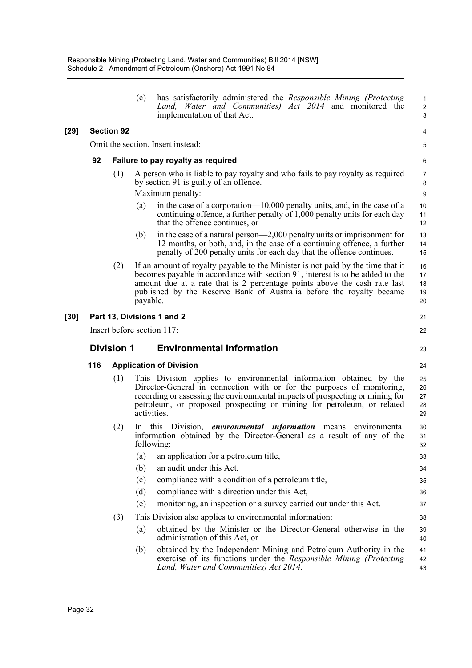|        |     |                   | has satisfactorily administered the Responsible Mining (Protecting<br>(c)<br>Land, Water and Communities) Act 2014 and monitored the<br>implementation of that Act.                                                                                                                                                               | 1<br>$\overline{\mathbf{c}}$<br>3 |
|--------|-----|-------------------|-----------------------------------------------------------------------------------------------------------------------------------------------------------------------------------------------------------------------------------------------------------------------------------------------------------------------------------|-----------------------------------|
| $[29]$ |     | <b>Section 92</b> |                                                                                                                                                                                                                                                                                                                                   | 4                                 |
|        |     |                   | Omit the section. Insert instead:                                                                                                                                                                                                                                                                                                 | 5                                 |
|        | 92  |                   | Failure to pay royalty as required                                                                                                                                                                                                                                                                                                | 6                                 |
|        |     | (1)               | A person who is liable to pay royalty and who fails to pay royalty as required<br>by section 91 is guilty of an offence.<br>Maximum penalty:                                                                                                                                                                                      | 7<br>8<br>9                       |
|        |     |                   | in the case of a corporation—10,000 penalty units, and, in the case of a<br>(a)<br>continuing offence, a further penalty of 1,000 penalty units for each day<br>that the offence continues, or                                                                                                                                    | 10<br>11<br>12                    |
|        |     |                   | in the case of a natural person—2,000 penalty units or imprisonment for<br>(b)<br>12 months, or both, and, in the case of a continuing offence, a further<br>penalty of 200 penalty units for each day that the offence continues.                                                                                                | 13<br>14<br>15                    |
|        |     | (2)               | If an amount of royalty payable to the Minister is not paid by the time that it<br>becomes payable in accordance with section 91, interest is to be added to the<br>amount due at a rate that is 2 percentage points above the cash rate last<br>published by the Reserve Bank of Australia before the royalty became<br>payable. | 16<br>17<br>18<br>19<br>20        |
| $[30]$ |     |                   | Part 13, Divisions 1 and 2                                                                                                                                                                                                                                                                                                        | 21                                |
|        |     |                   | Insert before section 117:                                                                                                                                                                                                                                                                                                        | 22                                |
|        |     |                   |                                                                                                                                                                                                                                                                                                                                   |                                   |
|        |     | <b>Division 1</b> | <b>Environmental information</b>                                                                                                                                                                                                                                                                                                  | 23                                |
|        | 116 |                   | <b>Application of Division</b>                                                                                                                                                                                                                                                                                                    | 24                                |
|        |     | (1)               | This Division applies to environmental information obtained by the<br>Director-General in connection with or for the purposes of monitoring,<br>recording or assessing the environmental impacts of prospecting or mining for<br>petroleum, or proposed prospecting or mining for petroleum, or related<br>activities.            | 25<br>26<br>27<br>28<br>29        |
|        |     | (2)               | In this Division, <i>environmental information</i> means<br>environmental<br>information obtained by the Director-General as a result of any of the<br>following:                                                                                                                                                                 | 30<br>31<br>32                    |
|        |     |                   | an application for a petroleum title,<br>(a)                                                                                                                                                                                                                                                                                      | 33                                |
|        |     |                   | an audit under this Act,<br>(b)                                                                                                                                                                                                                                                                                                   | 34                                |
|        |     |                   | compliance with a condition of a petroleum title,<br>(c)                                                                                                                                                                                                                                                                          | 35                                |
|        |     |                   | (d)<br>compliance with a direction under this Act,                                                                                                                                                                                                                                                                                | 36                                |
|        |     |                   | monitoring, an inspection or a survey carried out under this Act.<br>(e)                                                                                                                                                                                                                                                          | 37                                |
|        |     | (3)               | This Division also applies to environmental information:                                                                                                                                                                                                                                                                          | 38                                |
|        |     |                   | obtained by the Minister or the Director-General otherwise in the<br>(a)<br>administration of this Act, or                                                                                                                                                                                                                        | 39<br>40                          |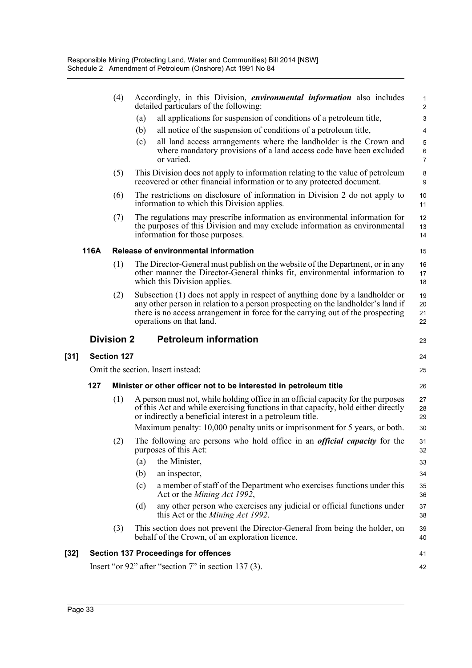|      |      | (4)                | Accordingly, in this Division, <i>environmental information</i> also includes<br>detailed particulars of the following:                                                                                                                                                         | $\mathbf{1}$<br>$\overline{2}$ |
|------|------|--------------------|---------------------------------------------------------------------------------------------------------------------------------------------------------------------------------------------------------------------------------------------------------------------------------|--------------------------------|
|      |      |                    | all applications for suspension of conditions of a petroleum title,<br>(a)                                                                                                                                                                                                      | 3                              |
|      |      |                    | (b)<br>all notice of the suspension of conditions of a petroleum title,                                                                                                                                                                                                         | 4                              |
|      |      |                    | all land access arrangements where the landholder is the Crown and<br>(c)<br>where mandatory provisions of a land access code have been excluded<br>or varied.                                                                                                                  | 5<br>$\,6\,$<br>$\overline{7}$ |
|      |      | (5)                | This Division does not apply to information relating to the value of petroleum<br>recovered or other financial information or to any protected document.                                                                                                                        | 8<br>$\boldsymbol{9}$          |
|      |      | (6)                | The restrictions on disclosure of information in Division 2 do not apply to<br>information to which this Division applies.                                                                                                                                                      | 10<br>11                       |
|      |      | (7)                | The regulations may prescribe information as environmental information for<br>the purposes of this Division and may exclude information as environmental<br>information for those purposes.                                                                                     | 12<br>13<br>14                 |
|      | 116A |                    | Release of environmental information                                                                                                                                                                                                                                            | 15                             |
|      |      | (1)                | The Director-General must publish on the website of the Department, or in any<br>other manner the Director-General thinks fit, environmental information to<br>which this Division applies.                                                                                     | 16<br>17<br>18                 |
|      |      | (2)                | Subsection (1) does not apply in respect of anything done by a landholder or<br>any other person in relation to a person prospecting on the landholder's land if<br>there is no access arrangement in force for the carrying out of the prospecting<br>operations on that land. | 19<br>20<br>21<br>22           |
|      |      | <b>Division 2</b>  | <b>Petroleum information</b>                                                                                                                                                                                                                                                    | 23                             |
| [31] |      | <b>Section 127</b> |                                                                                                                                                                                                                                                                                 | 24                             |
|      |      |                    | Omit the section. Insert instead:                                                                                                                                                                                                                                               | 25                             |
|      | 127  |                    | Minister or other officer not to be interested in petroleum title                                                                                                                                                                                                               | 26                             |
|      |      | (1)                | A person must not, while holding office in an official capacity for the purposes<br>of this Act and while exercising functions in that capacity, hold either directly<br>or indirectly a beneficial interest in a petroleum title.                                              | 27<br>28<br>29                 |
|      |      |                    | Maximum penalty: 10,000 penalty units or imprisonment for 5 years, or both.                                                                                                                                                                                                     | 30                             |
|      |      | (2)                | The following are persons who hold office in an <i>official capacity</i> for the<br>purposes of this Act:                                                                                                                                                                       | 31<br>32                       |
|      |      |                    | (a)<br>the Minister,                                                                                                                                                                                                                                                            | 33                             |
|      |      |                    | (b)<br>an inspector,                                                                                                                                                                                                                                                            | 34                             |
|      |      |                    | a member of staff of the Department who exercises functions under this<br>(c)<br>Act or the <i>Mining Act 1992</i> ,                                                                                                                                                            | 35<br>36                       |
|      |      |                    | any other person who exercises any judicial or official functions under<br>(d)<br>this Act or the <i>Mining Act 1992</i> .                                                                                                                                                      | 37<br>38                       |
|      |      | (3)                | This section does not prevent the Director-General from being the holder, on<br>behalf of the Crown, of an exploration licence.                                                                                                                                                 | 39<br>40                       |
| [32] |      |                    | <b>Section 137 Proceedings for offences</b>                                                                                                                                                                                                                                     | 41                             |
|      |      |                    | Insert "or $92$ " after "section 7" in section 137 (3).                                                                                                                                                                                                                         | 42                             |

[31]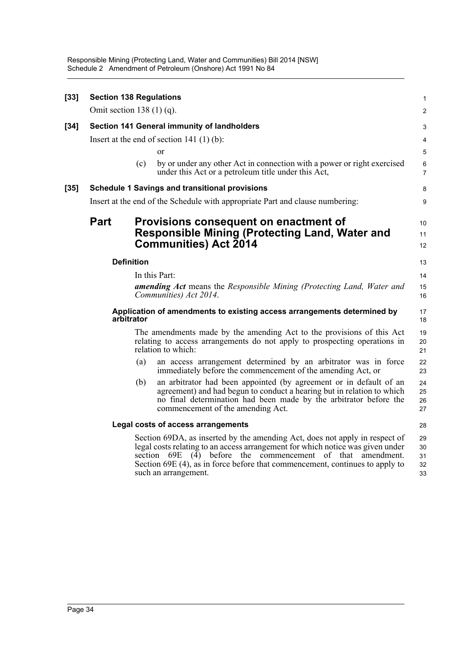| $[33]$ | <b>Section 138 Regulations</b> |                   |                                                                                                                                                                                                                                                                                                                                     | $\mathbf{1}$               |
|--------|--------------------------------|-------------------|-------------------------------------------------------------------------------------------------------------------------------------------------------------------------------------------------------------------------------------------------------------------------------------------------------------------------------------|----------------------------|
|        | Omit section 138 $(1)$ (q).    |                   |                                                                                                                                                                                                                                                                                                                                     | $\overline{2}$             |
| $[34]$ |                                |                   | Section 141 General immunity of landholders                                                                                                                                                                                                                                                                                         | 3                          |
|        |                                |                   | Insert at the end of section 141 $(1)$ $(b)$ :                                                                                                                                                                                                                                                                                      | 4                          |
|        |                                |                   | <sub>or</sub>                                                                                                                                                                                                                                                                                                                       | 5                          |
|        |                                | (c)               | by or under any other Act in connection with a power or right exercised<br>under this Act or a petroleum title under this Act,                                                                                                                                                                                                      | 6<br>$\overline{7}$        |
| $[35]$ |                                |                   | <b>Schedule 1 Savings and transitional provisions</b>                                                                                                                                                                                                                                                                               | 8                          |
|        |                                |                   | Insert at the end of the Schedule with appropriate Part and clause numbering:                                                                                                                                                                                                                                                       | 9                          |
|        | <b>Part</b>                    |                   | Provisions consequent on enactment of                                                                                                                                                                                                                                                                                               | 10                         |
|        |                                |                   | Responsible Mining (Protecting Land, Water and                                                                                                                                                                                                                                                                                      | 11                         |
|        |                                |                   | <b>Communities) Act 2014</b>                                                                                                                                                                                                                                                                                                        | 12                         |
|        |                                | <b>Definition</b> |                                                                                                                                                                                                                                                                                                                                     | 13                         |
|        |                                |                   | In this Part:                                                                                                                                                                                                                                                                                                                       | 14                         |
|        |                                |                   | <b>amending Act</b> means the Responsible Mining (Protecting Land, Water and<br>Communities) Act 2014.                                                                                                                                                                                                                              | 15<br>16                   |
|        | arbitrator                     |                   | Application of amendments to existing access arrangements determined by                                                                                                                                                                                                                                                             | 17<br>18                   |
|        |                                |                   | The amendments made by the amending Act to the provisions of this Act<br>relating to access arrangements do not apply to prospecting operations in<br>relation to which:                                                                                                                                                            | 19<br>20<br>21             |
|        |                                | (a)               | an access arrangement determined by an arbitrator was in force<br>immediately before the commencement of the amending Act, or                                                                                                                                                                                                       | 22<br>23                   |
|        |                                | (b)               | an arbitrator had been appointed (by agreement or in default of an<br>agreement) and had begun to conduct a hearing but in relation to which<br>no final determination had been made by the arbitrator before the<br>commencement of the amending Act.                                                                              | 24<br>25<br>26<br>27       |
|        |                                |                   | Legal costs of access arrangements                                                                                                                                                                                                                                                                                                  | 28                         |
|        |                                |                   | Section 69DA, as inserted by the amending Act, does not apply in respect of<br>legal costs relating to an access arrangement for which notice was given under<br>section 69E (4) before the commencement of that amendment.<br>Section 69E (4), as in force before that commencement, continues to apply to<br>such an arrangement. | 29<br>30<br>31<br>32<br>33 |
|        |                                |                   |                                                                                                                                                                                                                                                                                                                                     |                            |